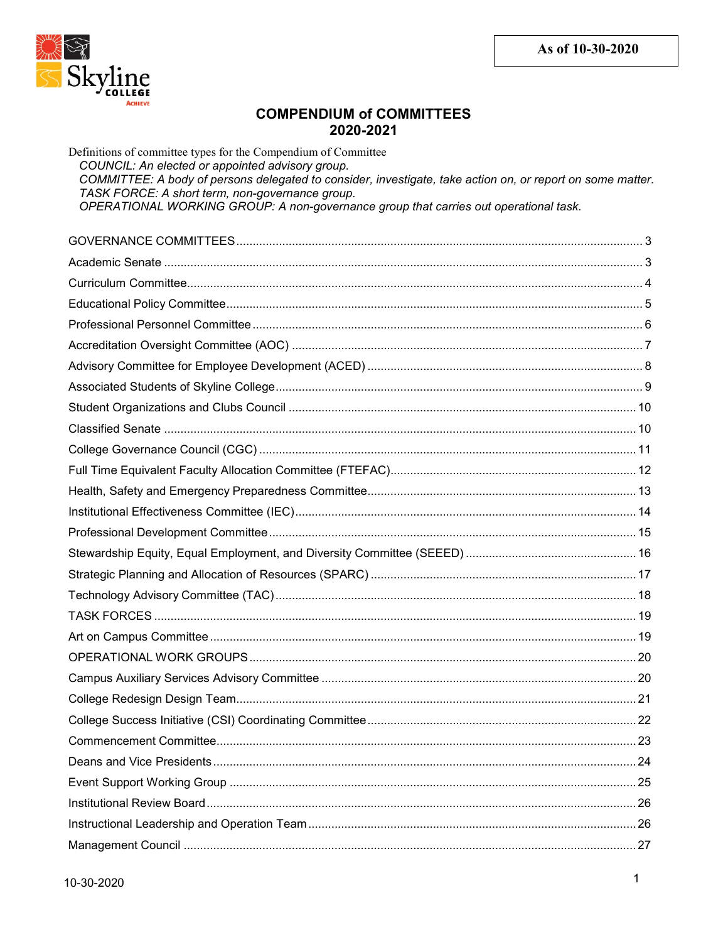

# **COMPENDIUM of COMMITTEES** 2020-2021

Definitions of committee types for the Compendium of Committee COUNCIL: An elected or appointed advisory group. COMMITTEE: A body of persons delegated to consider, investigate, take action on, or report on some matter. TASK FORCE: A short term, non-governance group. OPERATIONAL WORKING GROUP: A non-governance group that carries out operational task. 163.http://www.marchive.org/marchive.org/marchive.com/marchive.org/marchive.org/marchive.org/marchive.org/marc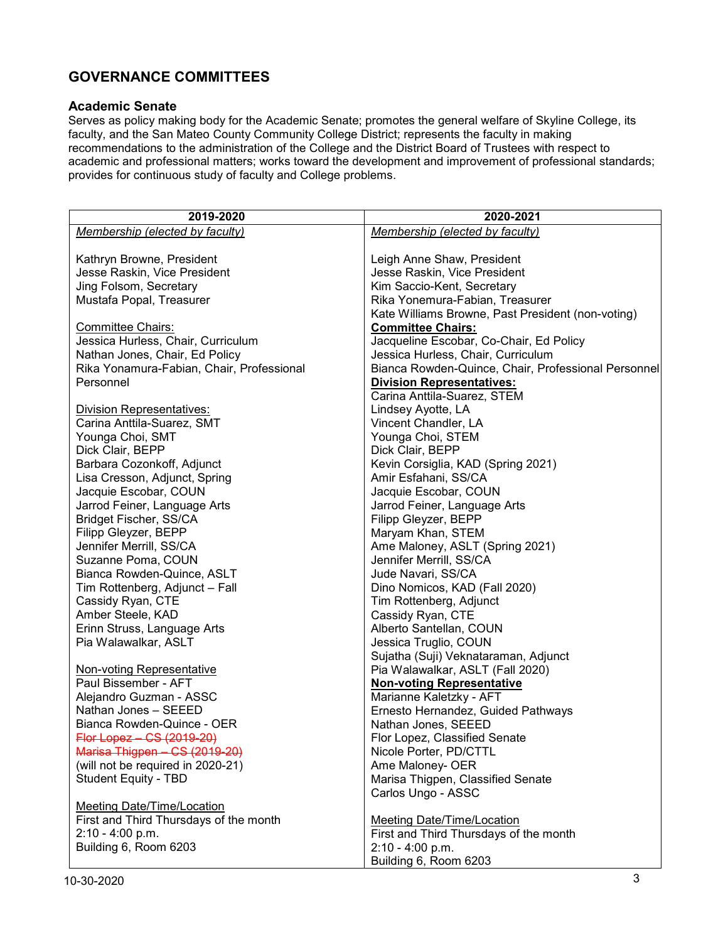# <span id="page-2-0"></span>**GOVERNANCE COMMITTEES**

#### <span id="page-2-1"></span>**Academic Senate**

Serves as policy making body for the Academic Senate; promotes the general welfare of Skyline College, its faculty, and the San Mateo County Community College District; represents the faculty in making recommendations to the administration of the College and the District Board of Trustees with respect to academic and professional matters; works toward the development and improvement of professional standards; provides for continuous study of faculty and College problems.

| 2019-2020                                 | 2020-2021                                                                   |
|-------------------------------------------|-----------------------------------------------------------------------------|
| Membership (elected by faculty)           | Membership (elected by faculty)                                             |
|                                           |                                                                             |
| Kathryn Browne, President                 | Leigh Anne Shaw, President                                                  |
| Jesse Raskin, Vice President              | Jesse Raskin, Vice President                                                |
| Jing Folsom, Secretary                    | Kim Saccio-Kent, Secretary                                                  |
| Mustafa Popal, Treasurer                  | Rika Yonemura-Fabian, Treasurer                                             |
|                                           | Kate Williams Browne, Past President (non-voting)                           |
| <b>Committee Chairs:</b>                  | <b>Committee Chairs:</b>                                                    |
| Jessica Hurless, Chair, Curriculum        |                                                                             |
|                                           | Jacqueline Escobar, Co-Chair, Ed Policy                                     |
| Nathan Jones, Chair, Ed Policy            | Jessica Hurless, Chair, Curriculum                                          |
| Rika Yonamura-Fabian, Chair, Professional | Bianca Rowden-Quince, Chair, Professional Personnel                         |
| Personnel                                 | <b>Division Representatives:</b>                                            |
|                                           | Carina Anttila-Suarez, STEM                                                 |
| <b>Division Representatives:</b>          | Lindsey Ayotte, LA                                                          |
| Carina Anttila-Suarez, SMT                | Vincent Chandler, LA                                                        |
| Younga Choi, SMT                          | Younga Choi, STEM                                                           |
| Dick Clair, BEPP                          | Dick Clair, BEPP                                                            |
| Barbara Cozonkoff, Adjunct                | Kevin Corsiglia, KAD (Spring 2021)                                          |
| Lisa Cresson, Adjunct, Spring             | Amir Esfahani, SS/CA                                                        |
| Jacquie Escobar, COUN                     | Jacquie Escobar, COUN                                                       |
| Jarrod Feiner, Language Arts              | Jarrod Feiner, Language Arts                                                |
| Bridget Fischer, SS/CA                    | Filipp Gleyzer, BEPP                                                        |
| Filipp Gleyzer, BEPP                      | Maryam Khan, STEM                                                           |
| Jennifer Merrill, SS/CA                   | Ame Maloney, ASLT (Spring 2021)                                             |
| Suzanne Poma, COUN                        | Jennifer Merrill, SS/CA                                                     |
| Bianca Rowden-Quince, ASLT                | Jude Navari, SS/CA                                                          |
| Tim Rottenberg, Adjunct - Fall            | Dino Nomicos, KAD (Fall 2020)                                               |
| Cassidy Ryan, CTE                         | Tim Rottenberg, Adjunct                                                     |
| Amber Steele, KAD                         | Cassidy Ryan, CTE                                                           |
| Erinn Struss, Language Arts               | Alberto Santellan, COUN                                                     |
| Pia Walawalkar, ASLT                      | Jessica Truglio, COUN                                                       |
|                                           | Sujatha (Suji) Veknataraman, Adjunct                                        |
| <b>Non-voting Representative</b>          | Pia Walawalkar, ASLT (Fall 2020)                                            |
| Paul Bissember - AFT                      | <b>Non-voting Representative</b>                                            |
| Alejandro Guzman - ASSC                   | Marianne Kaletzky - AFT                                                     |
| Nathan Jones - SEEED                      | Ernesto Hernandez, Guided Pathways                                          |
| Bianca Rowden-Quince - OER                | Nathan Jones, SEEED                                                         |
| Flor Lopez - CS (2019-20)                 | Flor Lopez, Classified Senate                                               |
| Marisa Thigpen - CS (2019-20)             | Nicole Porter, PD/CTTL                                                      |
| (will not be required in 2020-21)         | Ame Maloney- OER                                                            |
| <b>Student Equity - TBD</b>               | Marisa Thigpen, Classified Senate                                           |
|                                           | Carlos Ungo - ASSC                                                          |
| <b>Meeting Date/Time/Location</b>         |                                                                             |
| First and Third Thursdays of the month    |                                                                             |
|                                           | <b>Meeting Date/Time/Location</b><br>First and Third Thursdays of the month |
| 2:10 - 4:00 p.m.                          |                                                                             |
| Building 6, Room 6203                     | 2:10 - 4:00 p.m.                                                            |
|                                           | Building 6, Room 6203                                                       |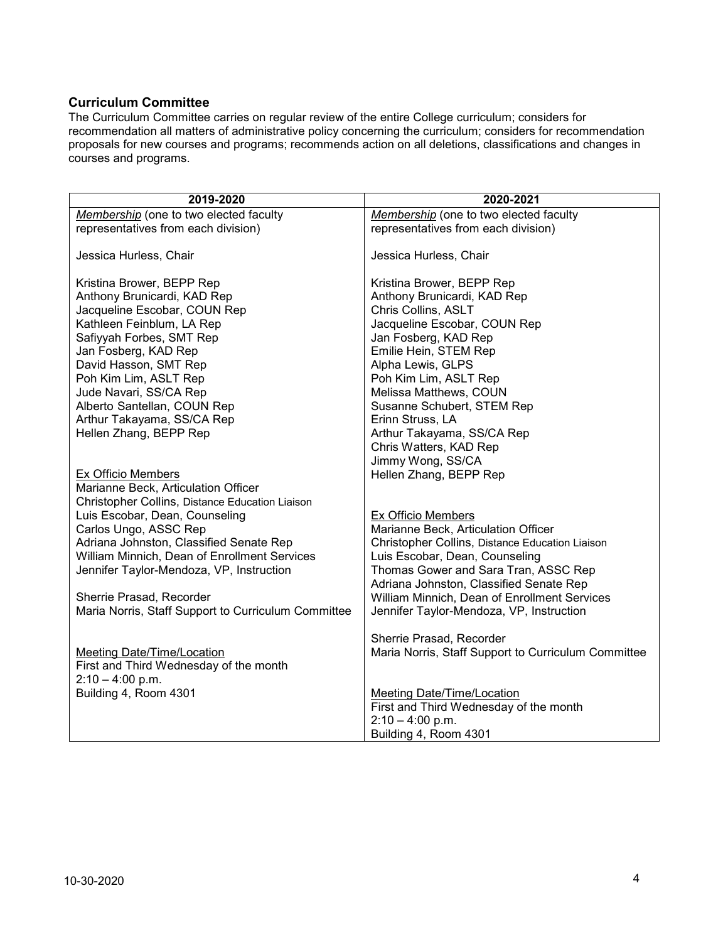#### <span id="page-3-0"></span>**Curriculum Committee**

The Curriculum Committee carries on regular review of the entire College curriculum; considers for recommendation all matters of administrative policy concerning the curriculum; considers for recommendation proposals for new courses and programs; recommends action on all deletions, classifications and changes in courses and programs.

| Membership (one to two elected faculty<br>Membership (one to two elected faculty<br>representatives from each division)<br>representatives from each division) |  |
|----------------------------------------------------------------------------------------------------------------------------------------------------------------|--|
|                                                                                                                                                                |  |
|                                                                                                                                                                |  |
| Jessica Hurless, Chair<br>Jessica Hurless, Chair                                                                                                               |  |
| Kristina Brower, BEPP Rep<br>Kristina Brower, BEPP Rep                                                                                                         |  |
| Anthony Brunicardi, KAD Rep<br>Anthony Brunicardi, KAD Rep                                                                                                     |  |
| Jacqueline Escobar, COUN Rep<br>Chris Collins, ASLT                                                                                                            |  |
| Kathleen Feinblum, LA Rep<br>Jacqueline Escobar, COUN Rep                                                                                                      |  |
| Safiyyah Forbes, SMT Rep<br>Jan Fosberg, KAD Rep                                                                                                               |  |
| Jan Fosberg, KAD Rep<br>Emilie Hein, STEM Rep                                                                                                                  |  |
| David Hasson, SMT Rep<br>Alpha Lewis, GLPS                                                                                                                     |  |
| Poh Kim Lim, ASLT Rep<br>Poh Kim Lim, ASLT Rep                                                                                                                 |  |
| Jude Navari, SS/CA Rep<br>Melissa Matthews, COUN                                                                                                               |  |
| Alberto Santellan, COUN Rep<br>Susanne Schubert, STEM Rep                                                                                                      |  |
| Erinn Struss, LA<br>Arthur Takayama, SS/CA Rep                                                                                                                 |  |
| Hellen Zhang, BEPP Rep<br>Arthur Takayama, SS/CA Rep                                                                                                           |  |
| Chris Watters, KAD Rep                                                                                                                                         |  |
| Jimmy Wong, SS/CA                                                                                                                                              |  |
| <b>Ex Officio Members</b><br>Hellen Zhang, BEPP Rep                                                                                                            |  |
| Marianne Beck, Articulation Officer                                                                                                                            |  |
| Christopher Collins, Distance Education Liaison                                                                                                                |  |
| Ex Officio Members<br>Luis Escobar, Dean, Counseling                                                                                                           |  |
| Carlos Ungo, ASSC Rep<br>Marianne Beck, Articulation Officer                                                                                                   |  |
| Adriana Johnston, Classified Senate Rep<br>Christopher Collins, Distance Education Liaison                                                                     |  |
| William Minnich, Dean of Enrollment Services<br>Luis Escobar, Dean, Counseling                                                                                 |  |
| Thomas Gower and Sara Tran, ASSC Rep<br>Jennifer Taylor-Mendoza, VP, Instruction                                                                               |  |
| Adriana Johnston, Classified Senate Rep                                                                                                                        |  |
| William Minnich, Dean of Enrollment Services<br>Sherrie Prasad, Recorder                                                                                       |  |
| Maria Norris, Staff Support to Curriculum Committee<br>Jennifer Taylor-Mendoza, VP, Instruction                                                                |  |
| Sherrie Prasad, Recorder                                                                                                                                       |  |
| Maria Norris, Staff Support to Curriculum Committee<br><b>Meeting Date/Time/Location</b>                                                                       |  |
| First and Third Wednesday of the month                                                                                                                         |  |
| $2:10 - 4:00$ p.m.                                                                                                                                             |  |
| Building 4, Room 4301<br><b>Meeting Date/Time/Location</b>                                                                                                     |  |
| First and Third Wednesday of the month                                                                                                                         |  |
| $2:10 - 4:00$ p.m.                                                                                                                                             |  |
| Building 4, Room 4301                                                                                                                                          |  |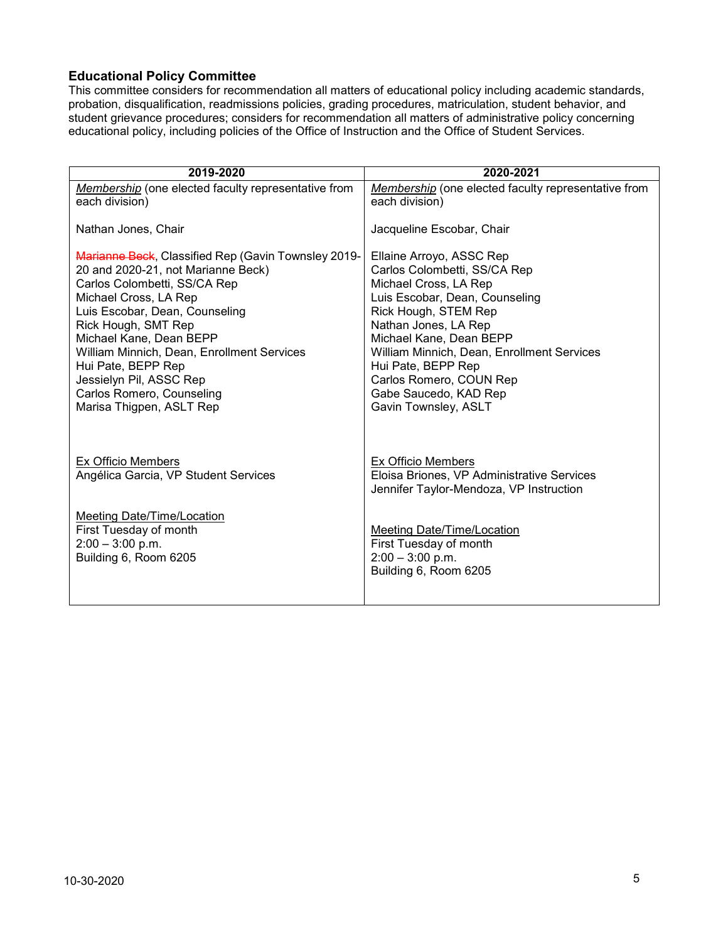### <span id="page-4-0"></span>**Educational Policy Committee**

This committee considers for recommendation all matters of educational policy including academic standards, probation, disqualification, readmissions policies, grading procedures, matriculation, student behavior, and student grievance procedures; considers for recommendation all matters of administrative policy concerning educational policy, including policies of the Office of Instruction and the Office of Student Services.

| 2019-2020                                                  | 2020-2021                                                                                                          |
|------------------------------------------------------------|--------------------------------------------------------------------------------------------------------------------|
| Membership (one elected faculty representative from        | Membership (one elected faculty representative from                                                                |
| each division)                                             | each division)                                                                                                     |
| Nathan Jones, Chair                                        | Jacqueline Escobar, Chair                                                                                          |
| Marianne Beck, Classified Rep (Gavin Townsley 2019-        | Ellaine Arroyo, ASSC Rep                                                                                           |
| 20 and 2020-21, not Marianne Beck)                         | Carlos Colombetti, SS/CA Rep                                                                                       |
| Carlos Colombetti, SS/CA Rep                               | Michael Cross, LA Rep                                                                                              |
| Michael Cross, LA Rep                                      | Luis Escobar, Dean, Counseling                                                                                     |
| Luis Escobar, Dean, Counseling                             | Rick Hough, STEM Rep                                                                                               |
| Rick Hough, SMT Rep                                        | Nathan Jones, LA Rep                                                                                               |
| Michael Kane, Dean BEPP                                    | Michael Kane, Dean BEPP                                                                                            |
| William Minnich, Dean, Enrollment Services                 | William Minnich, Dean, Enrollment Services                                                                         |
| Hui Pate, BEPP Rep                                         | Hui Pate, BEPP Rep                                                                                                 |
| Jessielyn Pil, ASSC Rep                                    | Carlos Romero, COUN Rep                                                                                            |
| Carlos Romero, Counseling                                  | Gabe Saucedo, KAD Rep                                                                                              |
| Marisa Thigpen, ASLT Rep                                   | Gavin Townsley, ASLT                                                                                               |
| Ex Officio Members<br>Angélica Garcia, VP Student Services | <b>Ex Officio Members</b><br>Eloisa Briones, VP Administrative Services<br>Jennifer Taylor-Mendoza, VP Instruction |
| Meeting Date/Time/Location                                 | <b>Meeting Date/Time/Location</b>                                                                                  |
| First Tuesday of month                                     | First Tuesday of month                                                                                             |
| $2:00 - 3:00$ p.m.                                         | $2:00 - 3:00$ p.m.                                                                                                 |
| Building 6, Room 6205                                      | Building 6, Room 6205                                                                                              |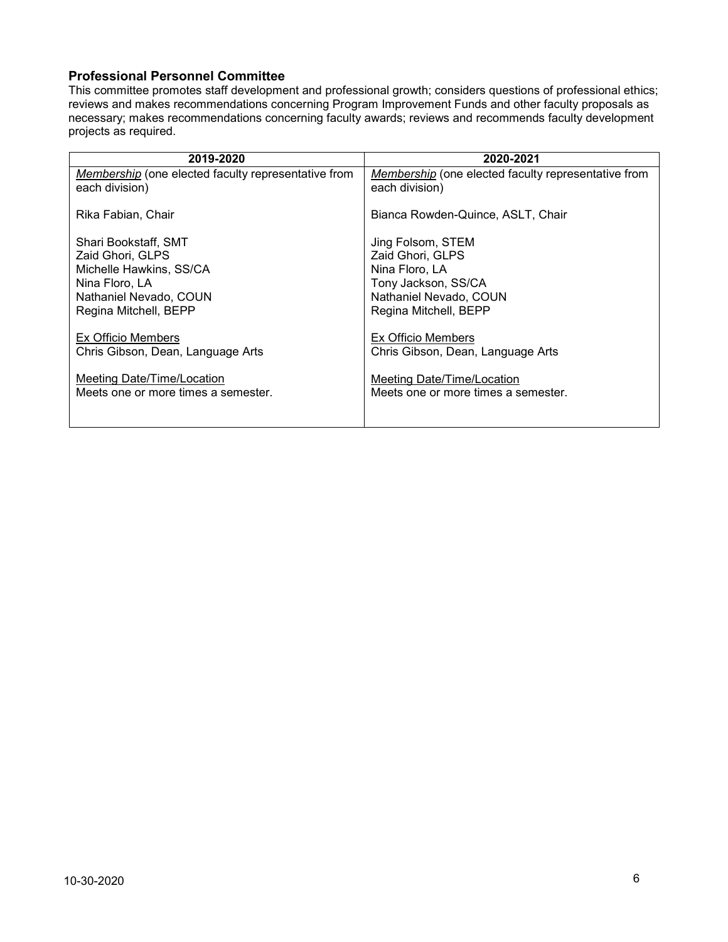#### <span id="page-5-0"></span>**Professional Personnel Committee**

This committee promotes staff development and professional growth; considers questions of professional ethics; reviews and makes recommendations concerning Program Improvement Funds and other faculty proposals as necessary; makes recommendations concerning faculty awards; reviews and recommends faculty development projects as required.

| 2019-2020                                                             | 2020-2021                                                             |
|-----------------------------------------------------------------------|-----------------------------------------------------------------------|
| Membership (one elected faculty representative from<br>each division) | Membership (one elected faculty representative from<br>each division) |
| Rika Fabian, Chair                                                    | Bianca Rowden-Quince, ASLT, Chair                                     |
| Shari Bookstaff, SMT                                                  | Jing Folsom, STEM                                                     |
| Zaid Ghori, GLPS                                                      | Zaid Ghori, GLPS                                                      |
| Michelle Hawkins, SS/CA                                               | Nina Floro, LA                                                        |
| Nina Floro, LA                                                        | Tony Jackson, SS/CA                                                   |
| Nathaniel Nevado, COUN                                                | Nathaniel Nevado, COUN                                                |
| Regina Mitchell, BEPP                                                 | Regina Mitchell, BEPP                                                 |
| Ex Officio Members                                                    | Ex Officio Members                                                    |
| Chris Gibson, Dean, Language Arts                                     | Chris Gibson, Dean, Language Arts                                     |
| <u>Meeting Date/Time/Location</u>                                     | Meeting Date/Time/Location                                            |
| Meets one or more times a semester.                                   | Meets one or more times a semester.                                   |
|                                                                       |                                                                       |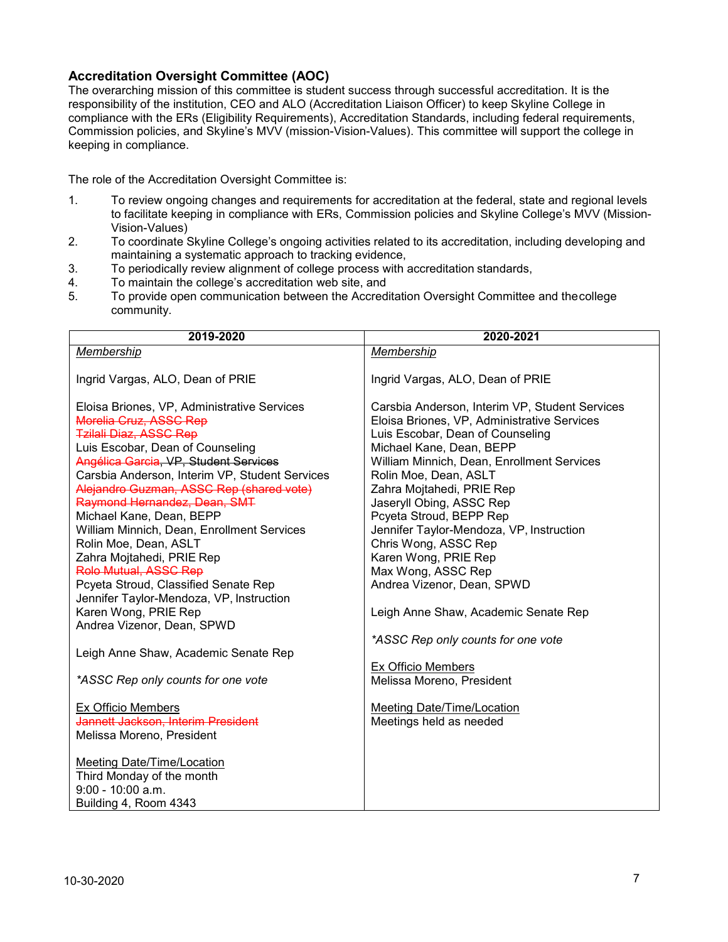#### <span id="page-6-0"></span>**Accreditation Oversight Committee (AOC)**

The overarching mission of this committee is student success through successful accreditation. It is the responsibility of the institution, CEO and ALO (Accreditation Liaison Officer) to keep Skyline College in compliance with the ERs (Eligibility Requirements), Accreditation Standards, including federal requirements, Commission policies, and Skyline's MVV (mission-Vision-Values). This committee will support the college in keeping in compliance.

The role of the Accreditation Oversight Committee is:

- 1. To review ongoing changes and requirements for accreditation at the federal, state and regional levels to facilitate keeping in compliance with ERs, Commission policies and Skyline College's MVV (Mission-Vision-Values)
- 2. To coordinate Skyline College's ongoing activities related to its accreditation, including developing and maintaining a systematic approach to tracking evidence,
- 3. To periodically review alignment of college process with accreditation standards,<br>4. To maintain the college's accreditation web site, and
- To maintain the college's accreditation web site, and
- 5. To provide open communication between the Accreditation Oversight Committee and thecollege community.

| 2019-2020                                      | 2020-2021                                      |
|------------------------------------------------|------------------------------------------------|
| <b>Membership</b>                              | Membership                                     |
|                                                |                                                |
| Ingrid Vargas, ALO, Dean of PRIE               | Ingrid Vargas, ALO, Dean of PRIE               |
|                                                |                                                |
| Eloisa Briones, VP, Administrative Services    | Carsbia Anderson, Interim VP, Student Services |
| Morelia Cruz, ASSC Rep                         | Eloisa Briones, VP, Administrative Services    |
| <b>Tzilali Diaz, ASSC Rep</b>                  | Luis Escobar, Dean of Counseling               |
| Luis Escobar, Dean of Counseling               | Michael Kane, Dean, BEPP                       |
| Angélica Garcia, VP, Student Services          | William Minnich, Dean, Enrollment Services     |
| Carsbia Anderson, Interim VP, Student Services | Rolin Moe, Dean, ASLT                          |
| Alejandro Guzman, ASSC Rep (shared vote)       | Zahra Mojtahedi, PRIE Rep                      |
| Raymond Hernandez, Dean, SMT                   | Jaseryll Obing, ASSC Rep                       |
| Michael Kane, Dean, BEPP                       | Pcyeta Stroud, BEPP Rep                        |
| William Minnich, Dean, Enrollment Services     | Jennifer Taylor-Mendoza, VP, Instruction       |
| Rolin Moe, Dean, ASLT                          | Chris Wong, ASSC Rep                           |
| Zahra Mojtahedi, PRIE Rep                      | Karen Wong, PRIE Rep                           |
| <b>Rolo Mutual, ASSC Rep</b>                   | Max Wong, ASSC Rep                             |
| Pcyeta Stroud, Classified Senate Rep           | Andrea Vizenor, Dean, SPWD                     |
| Jennifer Taylor-Mendoza, VP, Instruction       |                                                |
| Karen Wong, PRIE Rep                           | Leigh Anne Shaw, Academic Senate Rep           |
| Andrea Vizenor, Dean, SPWD                     |                                                |
|                                                | *ASSC Rep only counts for one vote             |
| Leigh Anne Shaw, Academic Senate Rep           |                                                |
|                                                | <b>Ex Officio Members</b>                      |
| *ASSC Rep only counts for one vote             | Melissa Moreno, President                      |
|                                                |                                                |
| <b>Ex Officio Members</b>                      | <b>Meeting Date/Time/Location</b>              |
| Jannett Jackson, Interim President             | Meetings held as needed                        |
| Melissa Moreno, President                      |                                                |
|                                                |                                                |
| Meeting Date/Time/Location                     |                                                |
| Third Monday of the month                      |                                                |
| $9:00 - 10:00$ a.m.                            |                                                |
| Building 4, Room 4343                          |                                                |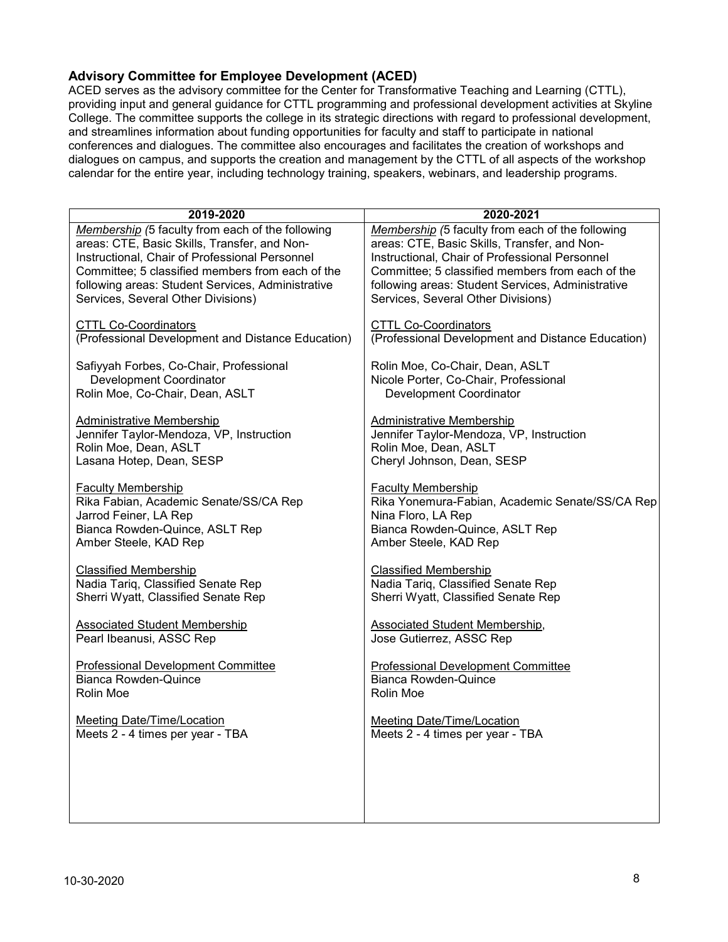### <span id="page-7-0"></span>**Advisory Committee for Employee Development (ACED)**

ACED serves as the advisory committee for the Center for Transformative Teaching and Learning (CTTL), providing input and general guidance for CTTL programming and professional development activities at Skyline College. The committee supports the college in its strategic directions with regard to professional development, and streamlines information about funding opportunities for faculty and staff to participate in national conferences and dialogues. The committee also encourages and facilitates the creation of workshops and dialogues on campus, and supports the creation and management by the CTTL of all aspects of the workshop calendar for the entire year, including technology training, speakers, webinars, and leadership programs.

| 2019-2020                                         | 2020-2021                                         |
|---------------------------------------------------|---------------------------------------------------|
| Membership (5 faculty from each of the following  | Membership (5 faculty from each of the following  |
| areas: CTE, Basic Skills, Transfer, and Non-      | areas: CTE, Basic Skills, Transfer, and Non-      |
| Instructional, Chair of Professional Personnel    | Instructional, Chair of Professional Personnel    |
| Committee; 5 classified members from each of the  | Committee; 5 classified members from each of the  |
| following areas: Student Services, Administrative | following areas: Student Services, Administrative |
| Services, Several Other Divisions)                | Services, Several Other Divisions)                |
| <b>CTTL Co-Coordinators</b>                       | <b>CTTL Co-Coordinators</b>                       |
| (Professional Development and Distance Education) | (Professional Development and Distance Education) |
| Safiyyah Forbes, Co-Chair, Professional           | Rolin Moe, Co-Chair, Dean, ASLT                   |
| Development Coordinator                           | Nicole Porter, Co-Chair, Professional             |
| Rolin Moe, Co-Chair, Dean, ASLT                   | Development Coordinator                           |
| <b>Administrative Membership</b>                  | <b>Administrative Membership</b>                  |
| Jennifer Taylor-Mendoza, VP, Instruction          | Jennifer Taylor-Mendoza, VP, Instruction          |
| Rolin Moe, Dean, ASLT                             | Rolin Moe, Dean, ASLT                             |
| Lasana Hotep, Dean, SESP                          | Cheryl Johnson, Dean, SESP                        |
| <b>Faculty Membership</b>                         | <b>Faculty Membership</b>                         |
| Rika Fabian, Academic Senate/SS/CA Rep            | Rika Yonemura-Fabian, Academic Senate/SS/CA Rep   |
| Jarrod Feiner, LA Rep                             | Nina Floro, LA Rep                                |
| Bianca Rowden-Quince, ASLT Rep                    | Bianca Rowden-Quince, ASLT Rep                    |
| Amber Steele, KAD Rep                             | Amber Steele, KAD Rep                             |
| <b>Classified Membership</b>                      | <b>Classified Membership</b>                      |
| Nadia Tariq, Classified Senate Rep                | Nadia Tariq, Classified Senate Rep                |
| Sherri Wyatt, Classified Senate Rep               | Sherri Wyatt, Classified Senate Rep               |
| <b>Associated Student Membership</b>              | <b>Associated Student Membership,</b>             |
| Pearl Ibeanusi, ASSC Rep                          | Jose Gutierrez, ASSC Rep                          |
| <b>Professional Development Committee</b>         | <b>Professional Development Committee</b>         |
| <b>Bianca Rowden-Quince</b>                       | <b>Bianca Rowden-Quince</b>                       |
| Rolin Moe                                         | Rolin Moe                                         |
| <b>Meeting Date/Time/Location</b>                 | <b>Meeting Date/Time/Location</b>                 |
| Meets 2 - 4 times per year - TBA                  | Meets 2 - 4 times per year - TBA                  |
|                                                   |                                                   |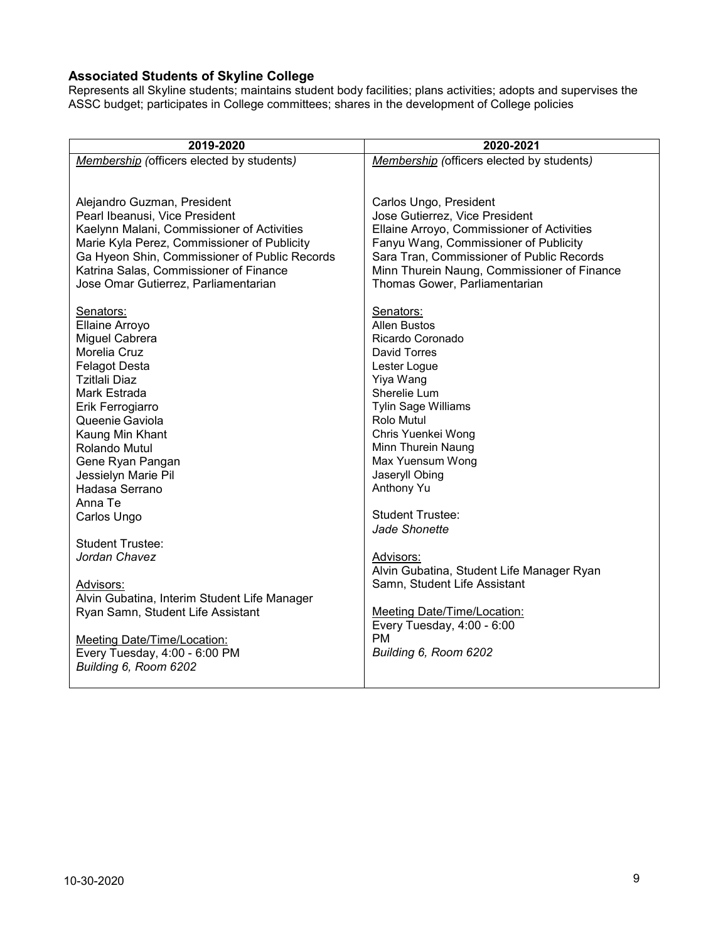### <span id="page-8-0"></span>**Associated Students of Skyline College**

Represents all Skyline students; maintains student body facilities; plans activities; adopts and supervises the ASSC budget; participates in College committees; shares in the development of College policies

| 2019-2020                                     | 2020-2021                                                 |
|-----------------------------------------------|-----------------------------------------------------------|
| Membership (officers elected by students)     | Membership (officers elected by students)                 |
|                                               |                                                           |
|                                               |                                                           |
| Alejandro Guzman, President                   | Carlos Ungo, President                                    |
| Pearl Ibeanusi, Vice President                | Jose Gutierrez, Vice President                            |
| Kaelynn Malani, Commissioner of Activities    | Ellaine Arroyo, Commissioner of Activities                |
| Marie Kyla Perez, Commissioner of Publicity   | Fanyu Wang, Commissioner of Publicity                     |
| Ga Hyeon Shin, Commissioner of Public Records | Sara Tran, Commissioner of Public Records                 |
| Katrina Salas, Commissioner of Finance        | Minn Thurein Naung, Commissioner of Finance               |
| Jose Omar Gutierrez, Parliamentarian          | Thomas Gower, Parliamentarian                             |
| Senators:                                     | Senators:                                                 |
| Ellaine Arroyo                                | <b>Allen Bustos</b>                                       |
| Miguel Cabrera                                | Ricardo Coronado                                          |
| Morelia Cruz                                  | David Torres                                              |
| <b>Felagot Desta</b>                          | Lester Logue                                              |
| Tzitlali Diaz                                 | Yiya Wang                                                 |
| Mark Estrada                                  | Sherelie Lum                                              |
| Erik Ferrogiarro                              | <b>Tylin Sage Williams</b>                                |
| Queenie Gaviola                               | Rolo Mutul                                                |
| Kaung Min Khant                               | Chris Yuenkei Wong                                        |
| Rolando Mutul                                 | Minn Thurein Naung                                        |
| Gene Ryan Pangan                              | Max Yuensum Wong                                          |
| Jessielyn Marie Pil                           | Jaseryll Obing                                            |
| Hadasa Serrano                                | Anthony Yu                                                |
| Anna Te                                       |                                                           |
| Carlos Ungo                                   | <b>Student Trustee:</b>                                   |
|                                               | Jade Shonette                                             |
| <b>Student Trustee:</b>                       |                                                           |
| Jordan Chavez                                 | Advisors:                                                 |
|                                               | Alvin Gubatina, Student Life Manager Ryan                 |
| Advisors:                                     | Samn, Student Life Assistant                              |
| Alvin Gubatina, Interim Student Life Manager  |                                                           |
| Ryan Samn, Student Life Assistant             | Meeting Date/Time/Location:<br>Every Tuesday, 4:00 - 6:00 |
| Meeting Date/Time/Location:                   | <b>PM</b>                                                 |
| Every Tuesday, 4:00 - 6:00 PM                 | Building 6, Room 6202                                     |
| Building 6, Room 6202                         |                                                           |
|                                               |                                                           |
|                                               |                                                           |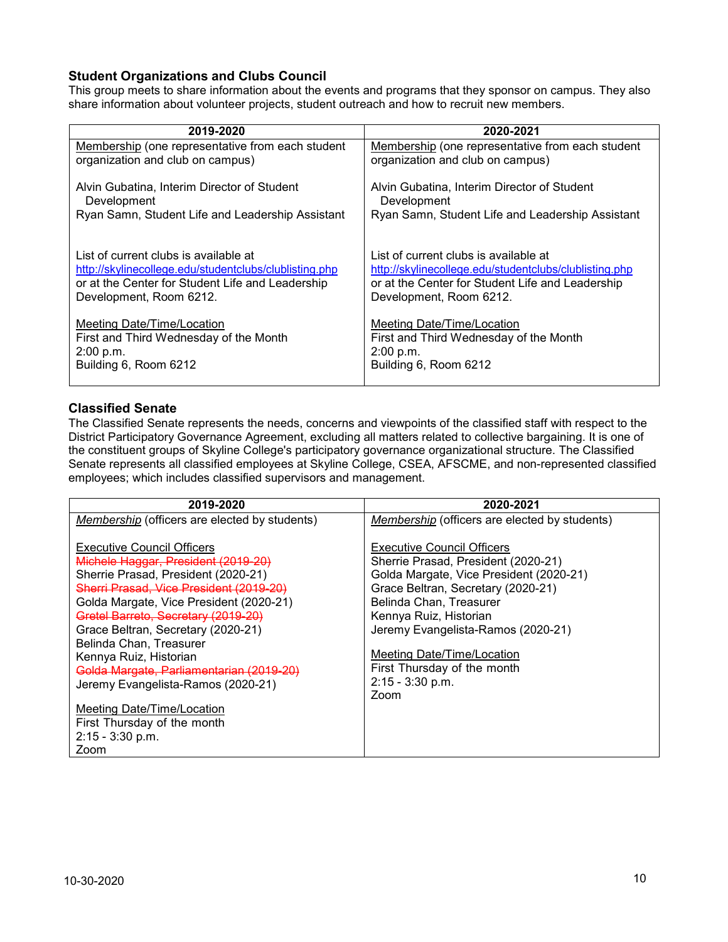### <span id="page-9-0"></span>**Student Organizations and Clubs Council**

This group meets to share information about the events and programs that they sponsor on campus. They also share information about volunteer projects, student outreach and how to recruit new members.

| 2019-2020                                                  | 2020-2021                                                  |
|------------------------------------------------------------|------------------------------------------------------------|
| Membership (one representative from each student           | Membership (one representative from each student           |
| organization and club on campus)                           | organization and club on campus)                           |
| Alvin Gubatina, Interim Director of Student<br>Development | Alvin Gubatina, Interim Director of Student<br>Development |
| Ryan Samn, Student Life and Leadership Assistant           | Ryan Samn, Student Life and Leadership Assistant           |
| List of current clubs is available at                      | List of current clubs is available at                      |
| http://skylinecollege.edu/studentclubs/clublisting.php     | http://skylinecollege.edu/studentclubs/clublisting.php     |
| or at the Center for Student Life and Leadership           | or at the Center for Student Life and Leadership           |
| Development, Room 6212.                                    | Development, Room 6212.                                    |
| Meeting Date/Time/Location                                 | Meeting Date/Time/Location                                 |
| First and Third Wednesday of the Month                     | First and Third Wednesday of the Month                     |
| 2:00 p.m.                                                  | 2:00 p.m.                                                  |
| Building 6, Room 6212                                      | Building 6, Room 6212                                      |

#### <span id="page-9-1"></span>**Classified Senate**

The Classified Senate represents the needs, concerns and viewpoints of the classified staff with respect to the District Participatory Governance Agreement, excluding all matters related to collective bargaining. It is one of the constituent groups of Skyline College's participatory governance organizational structure. The Classified Senate represents all classified employees at Skyline College, CSEA, AFSCME, and non-represented classified employees; which includes classified supervisors and management.

| 2019-2020                                                                                                                                                                                                                                                                                                                                                                                                                                                                                                    | 2020-2021                                                                                                                                                                                                                                                                                                                                       |
|--------------------------------------------------------------------------------------------------------------------------------------------------------------------------------------------------------------------------------------------------------------------------------------------------------------------------------------------------------------------------------------------------------------------------------------------------------------------------------------------------------------|-------------------------------------------------------------------------------------------------------------------------------------------------------------------------------------------------------------------------------------------------------------------------------------------------------------------------------------------------|
| Membership (officers are elected by students)                                                                                                                                                                                                                                                                                                                                                                                                                                                                | Membership (officers are elected by students)                                                                                                                                                                                                                                                                                                   |
| <b>Executive Council Officers</b><br>Michele Haggar, President (2019-20)<br>Sherrie Prasad, President (2020-21)<br>Sherri Prasad, Vice President (2019-20)<br>Golda Margate, Vice President (2020-21)<br>Gretel Barreto, Secretary (2019-20)<br>Grace Beltran, Secretary (2020-21)<br>Belinda Chan, Treasurer<br>Kennya Ruiz, Historian<br>Golda Margate, Parliamentarian (2019-20)<br>Jeremy Evangelista-Ramos (2020-21)<br>Meeting Date/Time/Location<br>First Thursday of the month<br>$2:15 - 3:30$ p.m. | <b>Executive Council Officers</b><br>Sherrie Prasad, President (2020-21)<br>Golda Margate, Vice President (2020-21)<br>Grace Beltran, Secretary (2020-21)<br>Belinda Chan, Treasurer<br>Kennya Ruiz, Historian<br>Jeremy Evangelista-Ramos (2020-21)<br>Meeting Date/Time/Location<br>First Thursday of the month<br>$2:15 - 3:30$ p.m.<br>Zoom |
| Zoom                                                                                                                                                                                                                                                                                                                                                                                                                                                                                                         |                                                                                                                                                                                                                                                                                                                                                 |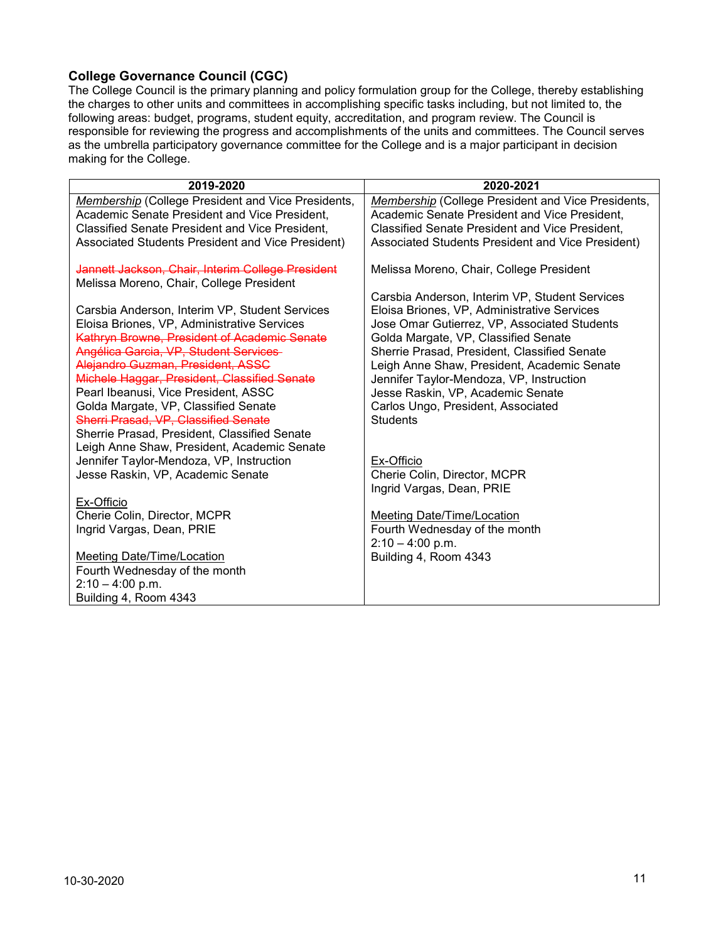### <span id="page-10-0"></span>**College Governance Council (CGC)**

The College Council is the primary planning and policy formulation group for the College, thereby establishing the charges to other units and committees in accomplishing specific tasks including, but not limited to, the following areas: budget, programs, student equity, accreditation, and program review. The Council is responsible for reviewing the progress and accomplishments of the units and committees. The Council serves as the umbrella participatory governance committee for the College and is a major participant in decision making for the College.

| 2019-2020                                              | 2020-2021                                                 |
|--------------------------------------------------------|-----------------------------------------------------------|
| Membership (College President and Vice Presidents,     | <b>Membership (College President and Vice Presidents,</b> |
| Academic Senate President and Vice President,          | Academic Senate President and Vice President,             |
| <b>Classified Senate President and Vice President,</b> | <b>Classified Senate President and Vice President,</b>    |
| Associated Students President and Vice President)      | Associated Students President and Vice President)         |
| Jannett Jackson, Chair, Interim College President      | Melissa Moreno, Chair, College President                  |
| Melissa Moreno, Chair, College President               |                                                           |
|                                                        | Carsbia Anderson, Interim VP, Student Services            |
| Carsbia Anderson, Interim VP, Student Services         | Eloisa Briones, VP, Administrative Services               |
| Eloisa Briones, VP, Administrative Services            | Jose Omar Gutierrez, VP, Associated Students              |
| Kathryn Browne, President of Academic Senate           | Golda Margate, VP, Classified Senate                      |
| Angélica Garcia, VP, Student Services                  | Sherrie Prasad, President, Classified Senate              |
| Alejandro Guzman, President, ASSC                      | Leigh Anne Shaw, President, Academic Senate               |
| Michele Haggar, President, Classified Senate           | Jennifer Taylor-Mendoza, VP, Instruction                  |
| Pearl Ibeanusi, Vice President, ASSC                   | Jesse Raskin, VP, Academic Senate                         |
| Golda Margate, VP, Classified Senate                   | Carlos Ungo, President, Associated                        |
| Sherri Prasad, VP, Classified Senate                   | <b>Students</b>                                           |
| Sherrie Prasad, President, Classified Senate           |                                                           |
| Leigh Anne Shaw, President, Academic Senate            |                                                           |
| Jennifer Taylor-Mendoza, VP, Instruction               | Ex-Officio                                                |
| Jesse Raskin, VP, Academic Senate                      | Cherie Colin, Director, MCPR                              |
|                                                        | Ingrid Vargas, Dean, PRIE                                 |
| Ex-Officio                                             |                                                           |
| Cherie Colin, Director, MCPR                           | <b>Meeting Date/Time/Location</b>                         |
| Ingrid Vargas, Dean, PRIE                              | Fourth Wednesday of the month                             |
|                                                        | $2:10 - 4:00$ p.m.                                        |
| Meeting Date/Time/Location                             | Building 4, Room 4343                                     |
| Fourth Wednesday of the month                          |                                                           |
| $2:10 - 4:00$ p.m.                                     |                                                           |
| Building 4, Room 4343                                  |                                                           |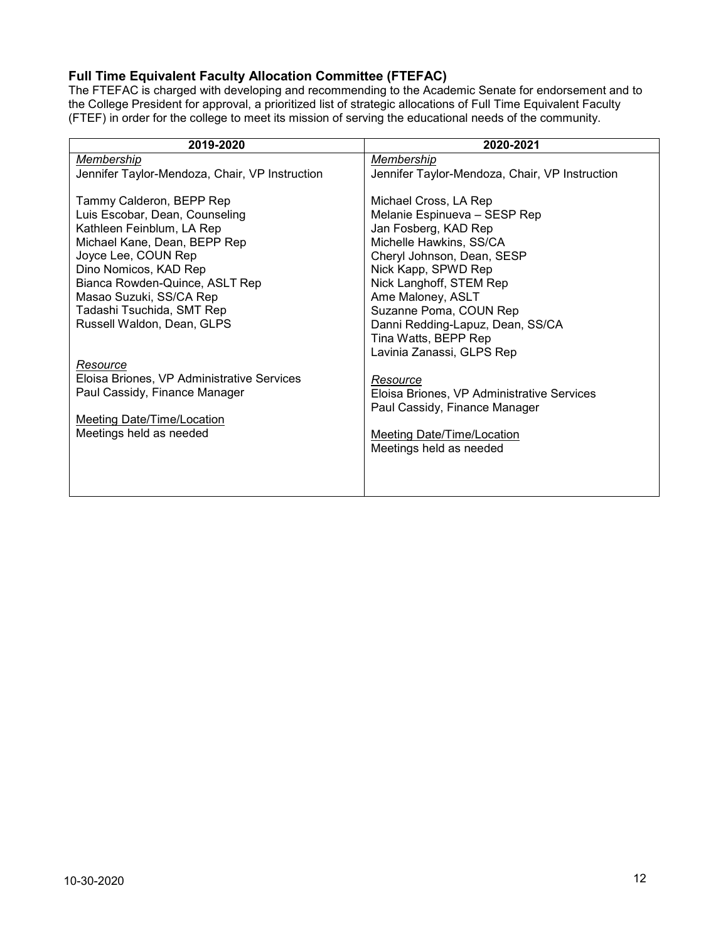### <span id="page-11-0"></span>**Full Time Equivalent Faculty Allocation Committee (FTEFAC)**

The FTEFAC is charged with developing and recommending to the Academic Senate for endorsement and to the College President for approval, a prioritized list of strategic allocations of Full Time Equivalent Faculty (FTEF) in order for the college to meet its mission of serving the educational needs of the community.

| 2019-2020                                      | 2020-2021                                      |
|------------------------------------------------|------------------------------------------------|
| Membership                                     | Membership                                     |
| Jennifer Taylor-Mendoza, Chair, VP Instruction | Jennifer Taylor-Mendoza, Chair, VP Instruction |
|                                                |                                                |
| Tammy Calderon, BEPP Rep                       | Michael Cross, LA Rep                          |
| Luis Escobar, Dean, Counseling                 | Melanie Espinueva - SESP Rep                   |
| Kathleen Feinblum, LA Rep                      | Jan Fosberg, KAD Rep                           |
| Michael Kane, Dean, BEPP Rep                   | Michelle Hawkins, SS/CA                        |
| Joyce Lee, COUN Rep                            | Cheryl Johnson, Dean, SESP                     |
| Dino Nomicos, KAD Rep                          | Nick Kapp, SPWD Rep                            |
| Bianca Rowden-Quince, ASLT Rep                 | Nick Langhoff, STEM Rep                        |
| Masao Suzuki, SS/CA Rep                        | Ame Maloney, ASLT                              |
| Tadashi Tsuchida, SMT Rep                      | Suzanne Poma, COUN Rep                         |
| Russell Waldon, Dean, GLPS                     | Danni Redding-Lapuz, Dean, SS/CA               |
|                                                | Tina Watts, BEPP Rep                           |
|                                                | Lavinia Zanassi, GLPS Rep                      |
| Resource                                       |                                                |
| Eloisa Briones, VP Administrative Services     | Resource                                       |
| Paul Cassidy, Finance Manager                  | Eloisa Briones, VP Administrative Services     |
|                                                | Paul Cassidy, Finance Manager                  |
| Meeting Date/Time/Location                     |                                                |
| Meetings held as needed                        | <b>Meeting Date/Time/Location</b>              |
|                                                | Meetings held as needed                        |
|                                                |                                                |
|                                                |                                                |
|                                                |                                                |
|                                                |                                                |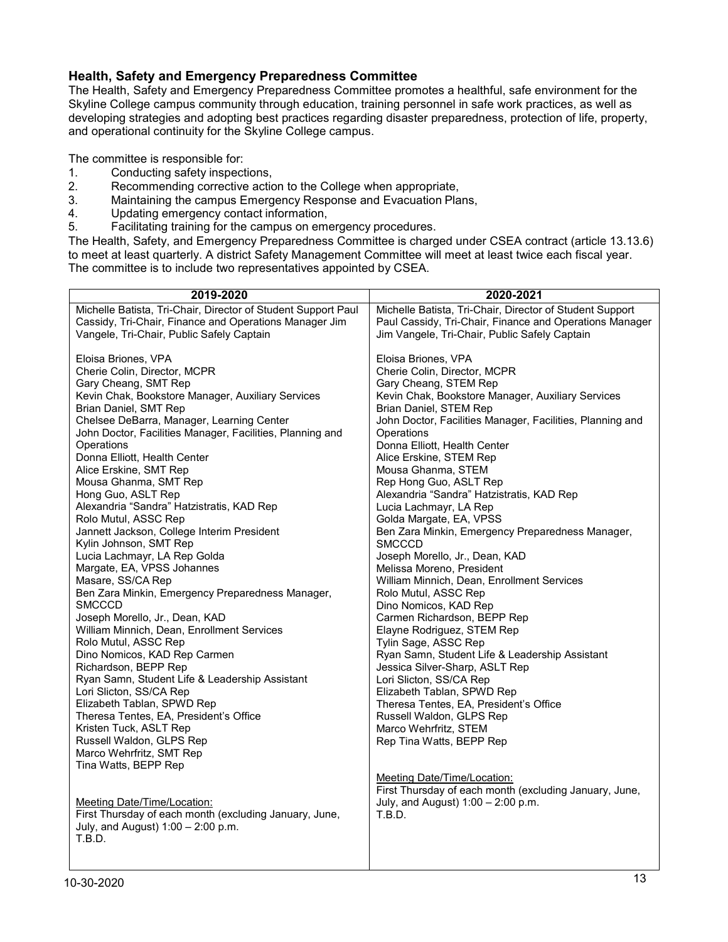#### <span id="page-12-0"></span>**Health, Safety and Emergency Preparedness Committee**

The Health, Safety and Emergency Preparedness Committee promotes a healthful, safe environment for the Skyline College campus community through education, training personnel in safe work practices, as well as developing strategies and adopting best practices regarding disaster preparedness, protection of life, property, and operational continuity for the Skyline College campus.

The committee is responsible for:

- 1. Conducting safety inspections,<br>2. Recommending corrective actional
- Recommending corrective action to the College when appropriate,
- 3. Maintaining the campus Emergency Response and Evacuation Plans,
- 4. Updating emergency contact information,
- 5. Facilitating training for the campus on emergency procedures.

The Health, Safety, and Emergency Preparedness Committee is charged under CSEA contract (article 13.13.6) to meet at least quarterly. A district Safety Management Committee will meet at least twice each fiscal year. The committee is to include two representatives appointed by CSEA.

| 2019-2020                                                              | 2020-2021                                                 |
|------------------------------------------------------------------------|-----------------------------------------------------------|
| Michelle Batista, Tri-Chair, Director of Student Support Paul          | Michelle Batista, Tri-Chair, Director of Student Support  |
| Cassidy, Tri-Chair, Finance and Operations Manager Jim                 | Paul Cassidy, Tri-Chair, Finance and Operations Manager   |
| Vangele, Tri-Chair, Public Safely Captain                              | Jim Vangele, Tri-Chair, Public Safely Captain             |
|                                                                        |                                                           |
| Eloisa Briones, VPA<br>Cherie Colin, Director, MCPR                    | Eloisa Briones, VPA<br>Cherie Colin, Director, MCPR       |
| Gary Cheang, SMT Rep                                                   | Gary Cheang, STEM Rep                                     |
| Kevin Chak, Bookstore Manager, Auxiliary Services                      | Kevin Chak, Bookstore Manager, Auxiliary Services         |
| Brian Daniel, SMT Rep                                                  | Brian Daniel, STEM Rep                                    |
| Chelsee DeBarra, Manager, Learning Center                              | John Doctor, Facilities Manager, Facilities, Planning and |
| John Doctor, Facilities Manager, Facilities, Planning and              | Operations                                                |
| Operations                                                             | Donna Elliott, Health Center                              |
| Donna Elliott, Health Center                                           | Alice Erskine, STEM Rep                                   |
| Alice Erskine, SMT Rep                                                 | Mousa Ghanma, STEM                                        |
| Mousa Ghanma, SMT Rep                                                  | Rep Hong Guo, ASLT Rep                                    |
| Hong Guo, ASLT Rep                                                     | Alexandria "Sandra" Hatzistratis, KAD Rep                 |
| Alexandria "Sandra" Hatzistratis, KAD Rep                              | Lucia Lachmayr, LA Rep                                    |
| Rolo Mutul, ASSC Rep                                                   | Golda Margate, EA, VPSS                                   |
| Jannett Jackson, College Interim President                             | Ben Zara Minkin, Emergency Preparedness Manager,          |
| Kylin Johnson, SMT Rep                                                 | <b>SMCCCD</b>                                             |
| Lucia Lachmayr, LA Rep Golda                                           | Joseph Morello, Jr., Dean, KAD                            |
| Margate, EA, VPSS Johannes                                             | Melissa Moreno, President                                 |
| Masare, SS/CA Rep                                                      | William Minnich, Dean, Enrollment Services                |
| Ben Zara Minkin, Emergency Preparedness Manager,                       | Rolo Mutul, ASSC Rep                                      |
| <b>SMCCCD</b>                                                          | Dino Nomicos, KAD Rep                                     |
| Joseph Morello, Jr., Dean, KAD                                         | Carmen Richardson, BEPP Rep                               |
| William Minnich, Dean, Enrollment Services                             | Elayne Rodriguez, STEM Rep                                |
| Rolo Mutul, ASSC Rep                                                   | Tylin Sage, ASSC Rep                                      |
| Dino Nomicos, KAD Rep Carmen                                           | Ryan Samn, Student Life & Leadership Assistant            |
| Richardson, BEPP Rep<br>Ryan Samn, Student Life & Leadership Assistant | Jessica Silver-Sharp, ASLT Rep<br>Lori Slicton, SS/CA Rep |
| Lori Slicton, SS/CA Rep                                                | Elizabeth Tablan, SPWD Rep                                |
| Elizabeth Tablan, SPWD Rep                                             | Theresa Tentes, EA, President's Office                    |
| Theresa Tentes, EA, President's Office                                 | Russell Waldon, GLPS Rep                                  |
| Kristen Tuck, ASLT Rep                                                 | Marco Wehrfritz, STEM                                     |
| Russell Waldon, GLPS Rep                                               | Rep Tina Watts, BEPP Rep                                  |
| Marco Wehrfritz, SMT Rep                                               |                                                           |
| Tina Watts, BEPP Rep                                                   |                                                           |
|                                                                        | Meeting Date/Time/Location:                               |
|                                                                        | First Thursday of each month (excluding January, June,    |
| <b>Meeting Date/Time/Location:</b>                                     | July, and August) $1:00 - 2:00$ p.m.                      |
| First Thursday of each month (excluding January, June,                 | <b>T.B.D.</b>                                             |
| July, and August) 1:00 - 2:00 p.m.                                     |                                                           |
| T.B.D.                                                                 |                                                           |
|                                                                        |                                                           |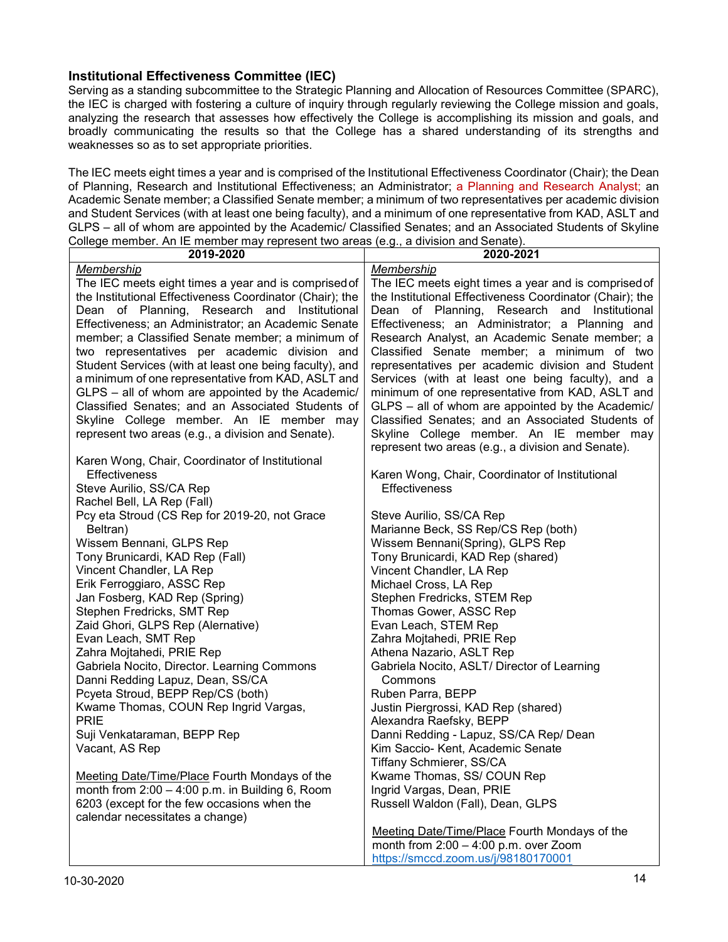#### <span id="page-13-0"></span>**Institutional Effectiveness Committee (IEC)**

Serving as a standing subcommittee to the Strategic Planning and Allocation of Resources Committee (SPARC), the IEC is charged with fostering a culture of inquiry through regularly reviewing the College mission and goals, analyzing the research that assesses how effectively the College is accomplishing its mission and goals, and broadly communicating the results so that the College has a shared understanding of its strengths and weaknesses so as to set appropriate priorities.

The IEC meets eight times a year and is comprised of the Institutional Effectiveness Coordinator (Chair); the Dean of Planning, Research and Institutional Effectiveness; an Administrator; a Planning and Research Analyst; an Academic Senate member; a Classified Senate member; a minimum of two representatives per academic division and Student Services (with at least one being faculty), and a minimum of one representative from KAD, ASLT and GLPS – all of whom are appointed by the Academic/ Classified Senates; and an Associated Students of Skyline College member. An IE member may represent two areas (e.g., a division and Senate).

| 2019-2020                                                                                          | 2020-2021                                                |
|----------------------------------------------------------------------------------------------------|----------------------------------------------------------|
| Membership                                                                                         | Membership                                               |
| The IEC meets eight times a year and is comprised of                                               | The IEC meets eight times a year and is comprised of     |
| the Institutional Effectiveness Coordinator (Chair); the                                           | the Institutional Effectiveness Coordinator (Chair); the |
| Dean of Planning, Research and Institutional                                                       | Dean of Planning, Research and Institutional             |
| Effectiveness; an Administrator; an Academic Senate                                                | Effectiveness; an Administrator; a Planning and          |
| member; a Classified Senate member; a minimum of                                                   | Research Analyst, an Academic Senate member; a           |
| two representatives per academic division and                                                      | Classified Senate member; a minimum of two               |
| Student Services (with at least one being faculty), and                                            | representatives per academic division and Student        |
| a minimum of one representative from KAD, ASLT and                                                 | Services (with at least one being faculty), and a        |
| GLPS - all of whom are appointed by the Academic/                                                  | minimum of one representative from KAD, ASLT and         |
| Classified Senates; and an Associated Students of                                                  | GLPS - all of whom are appointed by the Academic/        |
| Skyline College member. An IE member may                                                           | Classified Senates; and an Associated Students of        |
| represent two areas (e.g., a division and Senate).                                                 | Skyline College member. An IE member may                 |
|                                                                                                    | represent two areas (e.g., a division and Senate).       |
| Karen Wong, Chair, Coordinator of Institutional                                                    |                                                          |
| Effectiveness                                                                                      | Karen Wong, Chair, Coordinator of Institutional          |
| Steve Aurilio, SS/CA Rep                                                                           | Effectiveness                                            |
| Rachel Bell, LA Rep (Fall)                                                                         |                                                          |
| Pcy eta Stroud (CS Rep for 2019-20, not Grace                                                      | Steve Aurilio, SS/CA Rep                                 |
| Beltran)                                                                                           | Marianne Beck, SS Rep/CS Rep (both)                      |
| Wissem Bennani, GLPS Rep                                                                           | Wissem Bennani(Spring), GLPS Rep                         |
| Tony Brunicardi, KAD Rep (Fall)                                                                    | Tony Brunicardi, KAD Rep (shared)                        |
| Vincent Chandler, LA Rep                                                                           | Vincent Chandler, LA Rep                                 |
| Erik Ferroggiaro, ASSC Rep                                                                         | Michael Cross, LA Rep                                    |
| Jan Fosberg, KAD Rep (Spring)                                                                      | Stephen Fredricks, STEM Rep                              |
| Stephen Fredricks, SMT Rep                                                                         | Thomas Gower, ASSC Rep                                   |
| Zaid Ghori, GLPS Rep (Alernative)                                                                  | Evan Leach, STEM Rep                                     |
| Evan Leach, SMT Rep                                                                                | Zahra Mojtahedi, PRIE Rep                                |
| Zahra Mojtahedi, PRIE Rep                                                                          | Athena Nazario, ASLT Rep                                 |
| Gabriela Nocito, Director. Learning Commons                                                        | Gabriela Nocito, ASLT/ Director of Learning              |
| Danni Redding Lapuz, Dean, SS/CA                                                                   | Commons                                                  |
| Pcyeta Stroud, BEPP Rep/CS (both)                                                                  | Ruben Parra, BEPP                                        |
| Kwame Thomas, COUN Rep Ingrid Vargas,                                                              | Justin Piergrossi, KAD Rep (shared)                      |
| <b>PRIE</b>                                                                                        | Alexandra Raefsky, BEPP                                  |
| Suji Venkataraman, BEPP Rep                                                                        | Danni Redding - Lapuz, SS/CA Rep/ Dean                   |
| Vacant, AS Rep                                                                                     | Kim Saccio- Kent, Academic Senate                        |
|                                                                                                    | Tiffany Schmierer, SS/CA                                 |
| Meeting Date/Time/Place Fourth Mondays of the<br>month from $2:00 - 4:00$ p.m. in Building 6, Room | Kwame Thomas, SS/ COUN Rep                               |
|                                                                                                    | Ingrid Vargas, Dean, PRIE                                |
| 6203 (except for the few occasions when the<br>calendar necessitates a change)                     | Russell Waldon (Fall), Dean, GLPS                        |
|                                                                                                    | Meeting Date/Time/Place Fourth Mondays of the            |
|                                                                                                    | month from $2:00 - 4:00$ p.m. over Zoom                  |
|                                                                                                    | https://smccd.zoom.us/j/98180170001                      |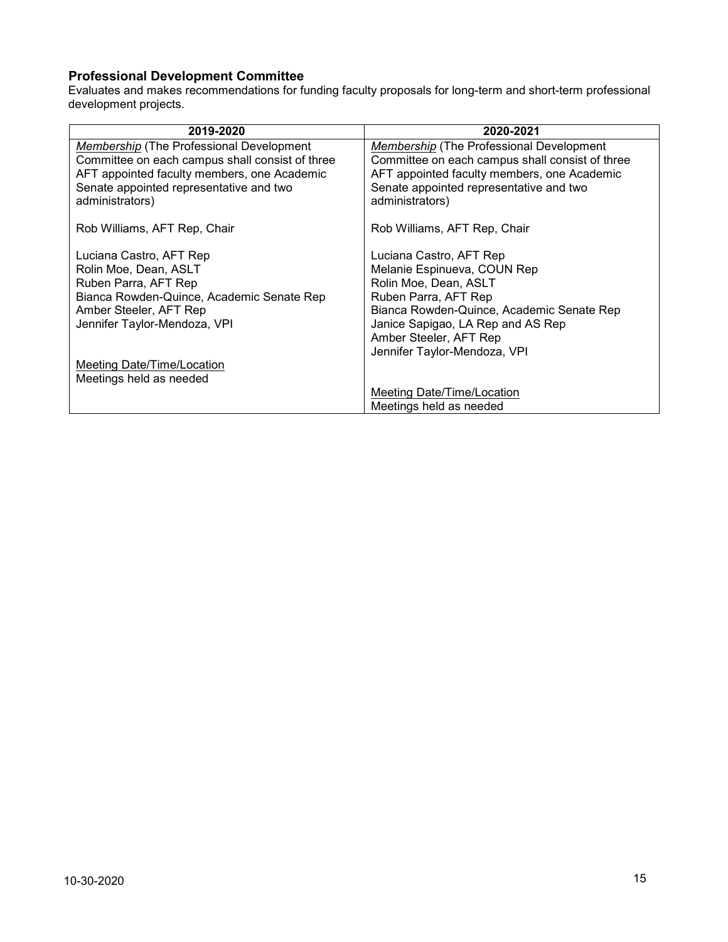### <span id="page-14-0"></span>**Professional Development Committee**

Evaluates and makes recommendations for funding faculty proposals for long-term and short-term professional development projects.

| 2019-2020                                                           | 2020-2021                                                         |
|---------------------------------------------------------------------|-------------------------------------------------------------------|
| Membership (The Professional Development                            | <b>Membership</b> (The Professional Development                   |
| Committee on each campus shall consist of three                     | Committee on each campus shall consist of three                   |
| AFT appointed faculty members, one Academic                         | AFT appointed faculty members, one Academic                       |
| Senate appointed representative and two                             | Senate appointed representative and two                           |
| administrators)                                                     | administrators)                                                   |
|                                                                     |                                                                   |
| Rob Williams, AFT Rep, Chair                                        | Rob Williams, AFT Rep, Chair                                      |
| Luciana Castro, AFT Rep                                             | Luciana Castro, AFT Rep                                           |
| Rolin Moe, Dean, ASLT                                               | Melanie Espinueva, COUN Rep                                       |
| Ruben Parra, AFT Rep                                                | Rolin Moe, Dean, ASLT                                             |
|                                                                     |                                                                   |
| Bianca Rowden-Quince, Academic Senate Rep<br>Amber Steeler, AFT Rep | Ruben Parra, AFT Rep<br>Bianca Rowden-Quince, Academic Senate Rep |
|                                                                     |                                                                   |
| Jennifer Taylor-Mendoza, VPI                                        | Janice Sapigao, LA Rep and AS Rep                                 |
|                                                                     | Amber Steeler, AFT Rep                                            |
|                                                                     | Jennifer Taylor-Mendoza, VPI                                      |
| Meeting Date/Time/Location                                          |                                                                   |
| Meetings held as needed                                             |                                                                   |
|                                                                     | Meeting Date/Time/Location                                        |
|                                                                     | Meetings held as needed                                           |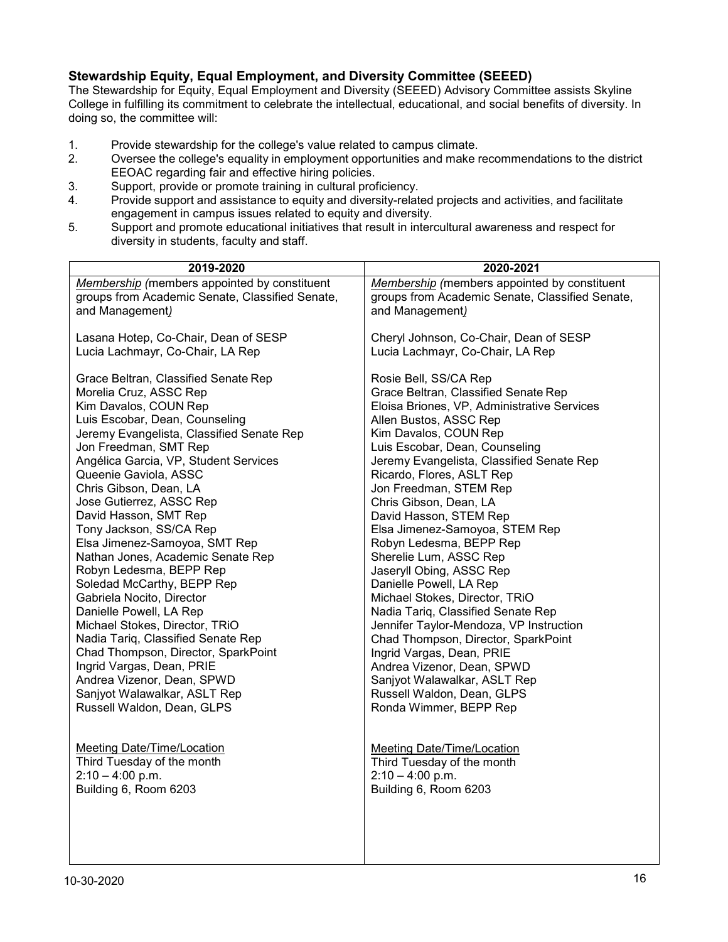### <span id="page-15-0"></span>**Stewardship Equity, Equal Employment, and Diversity Committee (SEEED)**

The Stewardship for Equity, Equal Employment and Diversity (SEEED) Advisory Committee assists Skyline College in fulfilling its commitment to celebrate the intellectual, educational, and social benefits of diversity. In doing so, the committee will:

- 1. Provide stewardship for the college's value related to campus climate.<br>2. Oversee the college's equality in employment opportunities and make r
- 2. Oversee the college's equality in employment opportunities and make recommendations to the district EEOAC regarding fair and effective hiring policies.
- 3. Support, provide or promote training in cultural proficiency.
- 4. Provide support and assistance to equity and diversity-related projects and activities, and facilitate engagement in campus issues related to equity and diversity.
- 5. Support and promote educational initiatives that result in intercultural awareness and respect for diversity in students, faculty and staff.

| 2019-2020                                                  | 2020-2021                                       |
|------------------------------------------------------------|-------------------------------------------------|
| Membership (members appointed by constituent               | Membership (members appointed by constituent    |
| groups from Academic Senate, Classified Senate,            | groups from Academic Senate, Classified Senate, |
| and Management)                                            | and Management)                                 |
|                                                            |                                                 |
| Lasana Hotep, Co-Chair, Dean of SESP                       | Cheryl Johnson, Co-Chair, Dean of SESP          |
| Lucia Lachmayr, Co-Chair, LA Rep                           | Lucia Lachmayr, Co-Chair, LA Rep                |
|                                                            |                                                 |
| Grace Beltran, Classified Senate Rep                       | Rosie Bell, SS/CA Rep                           |
| Morelia Cruz, ASSC Rep                                     | Grace Beltran, Classified Senate Rep            |
| Kim Davalos, COUN Rep                                      | Eloisa Briones, VP, Administrative Services     |
| Luis Escobar, Dean, Counseling                             | Allen Bustos, ASSC Rep                          |
| Jeremy Evangelista, Classified Senate Rep                  | Kim Davalos, COUN Rep                           |
| Jon Freedman, SMT Rep                                      | Luis Escobar, Dean, Counseling                  |
| Angélica Garcia, VP, Student Services                      | Jeremy Evangelista, Classified Senate Rep       |
| Queenie Gaviola, ASSC                                      | Ricardo, Flores, ASLT Rep                       |
| Chris Gibson, Dean, LA                                     | Jon Freedman, STEM Rep                          |
| Jose Gutierrez, ASSC Rep                                   | Chris Gibson, Dean, LA                          |
| David Hasson, SMT Rep                                      | David Hasson, STEM Rep                          |
| Tony Jackson, SS/CA Rep                                    | Elsa Jimenez-Samoyoa, STEM Rep                  |
| Elsa Jimenez-Samoyoa, SMT Rep                              | Robyn Ledesma, BEPP Rep                         |
| Nathan Jones, Academic Senate Rep                          | Sherelie Lum, ASSC Rep                          |
| Robyn Ledesma, BEPP Rep                                    | Jaseryll Obing, ASSC Rep                        |
| Soledad McCarthy, BEPP Rep                                 | Danielle Powell, LA Rep                         |
| Gabriela Nocito, Director                                  | Michael Stokes, Director, TRiO                  |
| Danielle Powell, LA Rep                                    | Nadia Tariq, Classified Senate Rep              |
| Michael Stokes, Director, TRiO                             | Jennifer Taylor-Mendoza, VP Instruction         |
| Nadia Tariq, Classified Senate Rep                         | Chad Thompson, Director, SparkPoint             |
| Chad Thompson, Director, SparkPoint                        | Ingrid Vargas, Dean, PRIE                       |
| Ingrid Vargas, Dean, PRIE                                  | Andrea Vizenor, Dean, SPWD                      |
| Andrea Vizenor, Dean, SPWD                                 | Sanjyot Walawalkar, ASLT Rep                    |
| Sanjyot Walawalkar, ASLT Rep<br>Russell Waldon, Dean, GLPS | Russell Waldon, Dean, GLPS                      |
|                                                            | Ronda Wimmer, BEPP Rep                          |
|                                                            |                                                 |
| Meeting Date/Time/Location                                 | Meeting Date/Time/Location                      |
| Third Tuesday of the month                                 | Third Tuesday of the month                      |
| $2:10 - 4:00$ p.m.                                         | $2:10 - 4:00$ p.m.                              |
| Building 6, Room 6203                                      | Building 6, Room 6203                           |
|                                                            |                                                 |
|                                                            |                                                 |
|                                                            |                                                 |
|                                                            |                                                 |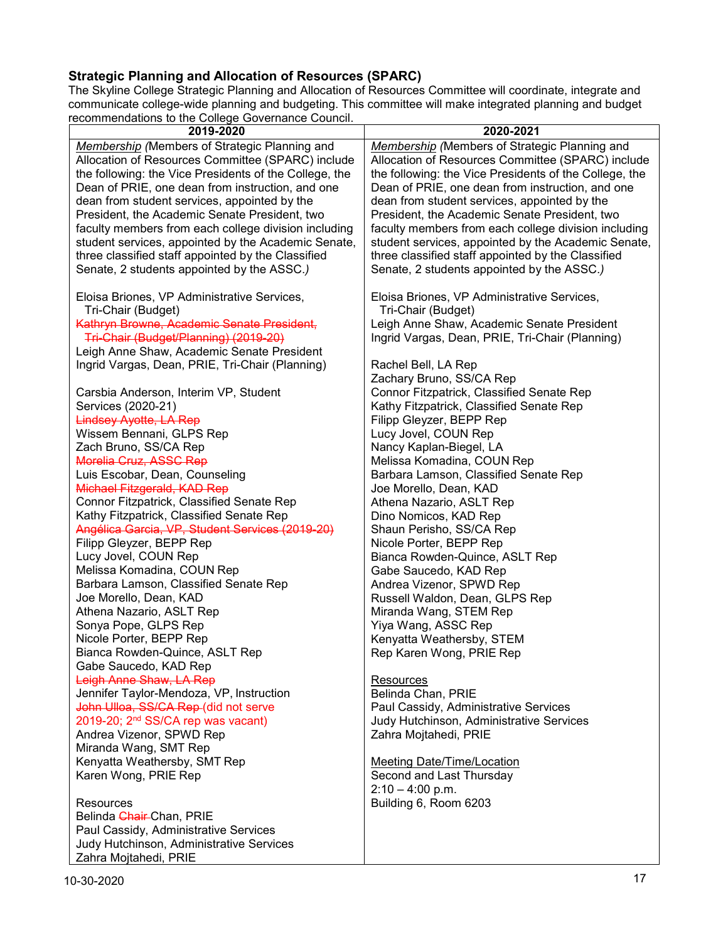# <span id="page-16-0"></span>**Strategic Planning and Allocation of Resources (SPARC)**

The Skyline College Strategic Planning and Allocation of Resources Committee will coordinate, integrate and communicate college-wide planning and budgeting. This committee will make integrated planning and budget recommendations to the College Governance Council.

| ecommendations to the College Governance Council.      |                                                        |
|--------------------------------------------------------|--------------------------------------------------------|
| 2019-2020                                              | 2020-2021                                              |
| <b>Membership</b> (Members of Strategic Planning and   | Membership (Members of Strategic Planning and          |
| Allocation of Resources Committee (SPARC) include      | Allocation of Resources Committee (SPARC) include      |
| the following: the Vice Presidents of the College, the | the following: the Vice Presidents of the College, the |
| Dean of PRIE, one dean from instruction, and one       | Dean of PRIE, one dean from instruction, and one       |
| dean from student services, appointed by the           | dean from student services, appointed by the           |
|                                                        |                                                        |
| President, the Academic Senate President, two          | President, the Academic Senate President, two          |
| faculty members from each college division including   | faculty members from each college division including   |
| student services, appointed by the Academic Senate,    | student services, appointed by the Academic Senate,    |
| three classified staff appointed by the Classified     | three classified staff appointed by the Classified     |
| Senate, 2 students appointed by the ASSC.)             | Senate, 2 students appointed by the ASSC.)             |
|                                                        |                                                        |
| Eloisa Briones, VP Administrative Services,            | Eloisa Briones, VP Administrative Services,            |
| Tri-Chair (Budget)                                     | Tri-Chair (Budget)                                     |
| Kathryn Browne, Academic Senate President,             | Leigh Anne Shaw, Academic Senate President             |
|                                                        |                                                        |
| Tri-Chair (Budget/Planning) (2019-20)                  | Ingrid Vargas, Dean, PRIE, Tri-Chair (Planning)        |
| Leigh Anne Shaw, Academic Senate President             |                                                        |
| Ingrid Vargas, Dean, PRIE, Tri-Chair (Planning)        | Rachel Bell, LA Rep                                    |
|                                                        | Zachary Bruno, SS/CA Rep                               |
| Carsbia Anderson, Interim VP, Student                  | Connor Fitzpatrick, Classified Senate Rep              |
| Services (2020-21)                                     | Kathy Fitzpatrick, Classified Senate Rep               |
| <b>Lindsey Ayotte, LA Rep</b>                          | Filipp Gleyzer, BEPP Rep                               |
| Wissem Bennani, GLPS Rep                               | Lucy Jovel, COUN Rep                                   |
| Zach Bruno, SS/CA Rep                                  | Nancy Kaplan-Biegel, LA                                |
| Morelia Cruz, ASSC Rep                                 | Melissa Komadina, COUN Rep                             |
| Luis Escobar, Dean, Counseling                         | Barbara Lamson, Classified Senate Rep                  |
| Michael Fitzgerald, KAD Rep                            |                                                        |
|                                                        | Joe Morello, Dean, KAD                                 |
| Connor Fitzpatrick, Classified Senate Rep              | Athena Nazario, ASLT Rep                               |
| Kathy Fitzpatrick, Classified Senate Rep               | Dino Nomicos, KAD Rep                                  |
| Angélica Garcia, VP, Student Services (2019-20)        | Shaun Perisho, SS/CA Rep                               |
| Filipp Gleyzer, BEPP Rep                               | Nicole Porter, BEPP Rep                                |
| Lucy Jovel, COUN Rep                                   | Bianca Rowden-Quince, ASLT Rep                         |
| Melissa Komadina, COUN Rep                             | Gabe Saucedo, KAD Rep                                  |
| Barbara Lamson, Classified Senate Rep                  | Andrea Vizenor, SPWD Rep                               |
| Joe Morello, Dean, KAD                                 | Russell Waldon, Dean, GLPS Rep                         |
| Athena Nazario, ASLT Rep                               | Miranda Wang, STEM Rep                                 |
| Sonya Pope, GLPS Rep                                   | Yiya Wang, ASSC Rep                                    |
| Nicole Porter, BEPP Rep                                | Kenyatta Weathersby, STEM                              |
| Bianca Rowden-Quince, ASLT Rep                         | Rep Karen Wong, PRIE Rep                               |
| Gabe Saucedo, KAD Rep                                  |                                                        |
| Leigh Anne Shaw, LA Rep                                | <b>Resources</b>                                       |
|                                                        |                                                        |
| Jennifer Taylor-Mendoza, VP, Instruction               | Belinda Chan, PRIE                                     |
| John Ulloa, SS/CA Rep-(did not serve                   | Paul Cassidy, Administrative Services                  |
| 2019-20; 2 <sup>nd</sup> SS/CA rep was vacant)         | Judy Hutchinson, Administrative Services               |
| Andrea Vizenor, SPWD Rep                               | Zahra Mojtahedi, PRIE                                  |
| Miranda Wang, SMT Rep                                  |                                                        |
| Kenyatta Weathersby, SMT Rep                           | <b>Meeting Date/Time/Location</b>                      |
| Karen Wong, PRIE Rep                                   | Second and Last Thursday                               |
|                                                        | $2:10 - 4:00$ p.m.                                     |
| Resources                                              | Building 6, Room 6203                                  |
| Belinda Chair-Chan, PRIE                               |                                                        |
| Paul Cassidy, Administrative Services                  |                                                        |
| Judy Hutchinson, Administrative Services               |                                                        |
|                                                        |                                                        |
| Zahra Mojtahedi, PRIE                                  |                                                        |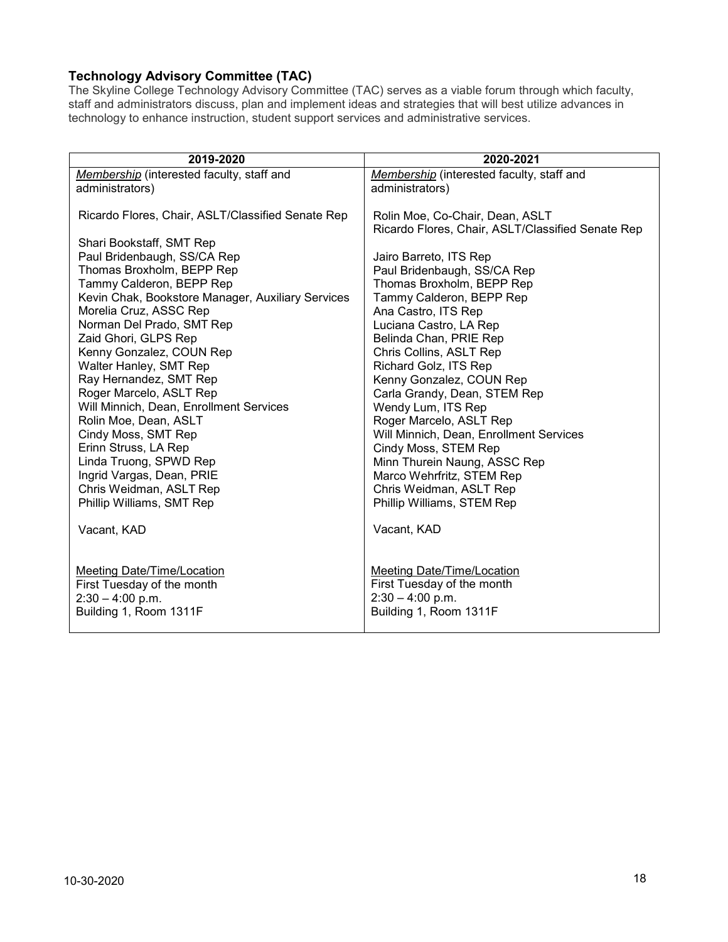# <span id="page-17-0"></span>**Technology Advisory Committee (TAC)**

The Skyline College Technology Advisory Committee (TAC) serves as a viable forum through which faculty, staff and administrators discuss, plan and implement ideas and strategies that will best utilize advances in technology to enhance instruction, student support services and administrative services.

| 2019-2020                                                                                                                                                                                                                                                                                                                                                                                                                                                                                                                                                                                                                                              | 2020-2021                                                                                                                                                                                                                                                                                                                                                                                                                                                                                                                                                                                                                                   |
|--------------------------------------------------------------------------------------------------------------------------------------------------------------------------------------------------------------------------------------------------------------------------------------------------------------------------------------------------------------------------------------------------------------------------------------------------------------------------------------------------------------------------------------------------------------------------------------------------------------------------------------------------------|---------------------------------------------------------------------------------------------------------------------------------------------------------------------------------------------------------------------------------------------------------------------------------------------------------------------------------------------------------------------------------------------------------------------------------------------------------------------------------------------------------------------------------------------------------------------------------------------------------------------------------------------|
| Membership (interested faculty, staff and                                                                                                                                                                                                                                                                                                                                                                                                                                                                                                                                                                                                              | Membership (interested faculty, staff and                                                                                                                                                                                                                                                                                                                                                                                                                                                                                                                                                                                                   |
| administrators)                                                                                                                                                                                                                                                                                                                                                                                                                                                                                                                                                                                                                                        | administrators)                                                                                                                                                                                                                                                                                                                                                                                                                                                                                                                                                                                                                             |
| Ricardo Flores, Chair, ASLT/Classified Senate Rep<br>Shari Bookstaff, SMT Rep<br>Paul Bridenbaugh, SS/CA Rep<br>Thomas Broxholm, BEPP Rep<br>Tammy Calderon, BEPP Rep<br>Kevin Chak, Bookstore Manager, Auxiliary Services<br>Morelia Cruz, ASSC Rep<br>Norman Del Prado, SMT Rep<br>Zaid Ghori, GLPS Rep<br>Kenny Gonzalez, COUN Rep<br>Walter Hanley, SMT Rep<br>Ray Hernandez, SMT Rep<br>Roger Marcelo, ASLT Rep<br>Will Minnich, Dean, Enrollment Services<br>Rolin Moe, Dean, ASLT<br>Cindy Moss, SMT Rep<br>Erinn Struss, LA Rep<br>Linda Truong, SPWD Rep<br>Ingrid Vargas, Dean, PRIE<br>Chris Weidman, ASLT Rep<br>Phillip Williams, SMT Rep | Rolin Moe, Co-Chair, Dean, ASLT<br>Ricardo Flores, Chair, ASLT/Classified Senate Rep<br>Jairo Barreto, ITS Rep<br>Paul Bridenbaugh, SS/CA Rep<br>Thomas Broxholm, BEPP Rep<br>Tammy Calderon, BEPP Rep<br>Ana Castro, ITS Rep<br>Luciana Castro, LA Rep<br>Belinda Chan, PRIE Rep<br>Chris Collins, ASLT Rep<br>Richard Golz, ITS Rep<br>Kenny Gonzalez, COUN Rep<br>Carla Grandy, Dean, STEM Rep<br>Wendy Lum, ITS Rep<br>Roger Marcelo, ASLT Rep<br>Will Minnich, Dean, Enrollment Services<br>Cindy Moss, STEM Rep<br>Minn Thurein Naung, ASSC Rep<br>Marco Wehrfritz, STEM Rep<br>Chris Weidman, ASLT Rep<br>Phillip Williams, STEM Rep |
| Vacant, KAD                                                                                                                                                                                                                                                                                                                                                                                                                                                                                                                                                                                                                                            | Vacant, KAD                                                                                                                                                                                                                                                                                                                                                                                                                                                                                                                                                                                                                                 |
| <b>Meeting Date/Time/Location</b><br>First Tuesday of the month<br>$2:30 - 4:00$ p.m.<br>Building 1, Room 1311F                                                                                                                                                                                                                                                                                                                                                                                                                                                                                                                                        | <b>Meeting Date/Time/Location</b><br>First Tuesday of the month<br>$2:30 - 4:00$ p.m.<br>Building 1, Room 1311F                                                                                                                                                                                                                                                                                                                                                                                                                                                                                                                             |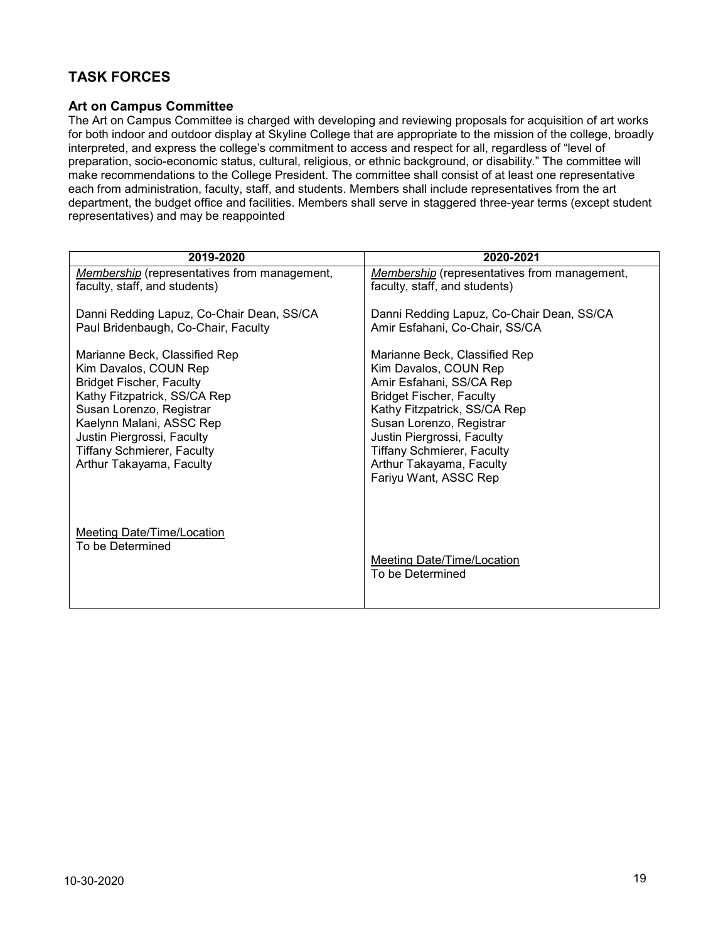# <span id="page-18-1"></span><span id="page-18-0"></span>**TASK FORCES**

#### **Art on Campus Committee**

The Art on Campus Committee is charged with developing and reviewing proposals for acquisition of art works for both indoor and outdoor display at Skyline College that are appropriate to the mission of the college, broadly interpreted, and express the college's commitment to access and respect for all, regardless of "level of preparation, socio-economic status, cultural, religious, or ethnic background, or disability." The committee will make recommendations to the College President. The committee shall consist of at least one representative each from administration, faculty, staff, and students. Members shall include representatives from the art department, the budget office and facilities. Members shall serve in staggered three-year terms (except student representatives) and may be reappointed

| 2019-2020                                                                                                                                                                                                                                                                                                                                                            | 2020-2021                                                                                                                                                                                                                                                                                                                                                                                |
|----------------------------------------------------------------------------------------------------------------------------------------------------------------------------------------------------------------------------------------------------------------------------------------------------------------------------------------------------------------------|------------------------------------------------------------------------------------------------------------------------------------------------------------------------------------------------------------------------------------------------------------------------------------------------------------------------------------------------------------------------------------------|
| Membership (representatives from management,                                                                                                                                                                                                                                                                                                                         | Membership (representatives from management,                                                                                                                                                                                                                                                                                                                                             |
| faculty, staff, and students)                                                                                                                                                                                                                                                                                                                                        | faculty, staff, and students)                                                                                                                                                                                                                                                                                                                                                            |
| Danni Redding Lapuz, Co-Chair Dean, SS/CA<br>Paul Bridenbaugh, Co-Chair, Faculty<br>Marianne Beck, Classified Rep<br>Kim Davalos, COUN Rep<br><b>Bridget Fischer, Faculty</b><br>Kathy Fitzpatrick, SS/CA Rep<br>Susan Lorenzo, Registrar<br>Kaelynn Malani, ASSC Rep<br>Justin Piergrossi, Faculty<br><b>Tiffany Schmierer, Faculty</b><br>Arthur Takayama, Faculty | Danni Redding Lapuz, Co-Chair Dean, SS/CA<br>Amir Esfahani, Co-Chair, SS/CA<br>Marianne Beck, Classified Rep<br>Kim Davalos, COUN Rep<br>Amir Esfahani, SS/CA Rep<br><b>Bridget Fischer, Faculty</b><br>Kathy Fitzpatrick, SS/CA Rep<br>Susan Lorenzo, Registrar<br>Justin Piergrossi, Faculty<br><b>Tiffany Schmierer, Faculty</b><br>Arthur Takayama, Faculty<br>Fariyu Want, ASSC Rep |
| <b>Meeting Date/Time/Location</b><br>To be Determined                                                                                                                                                                                                                                                                                                                | <b>Meeting Date/Time/Location</b><br>To be Determined                                                                                                                                                                                                                                                                                                                                    |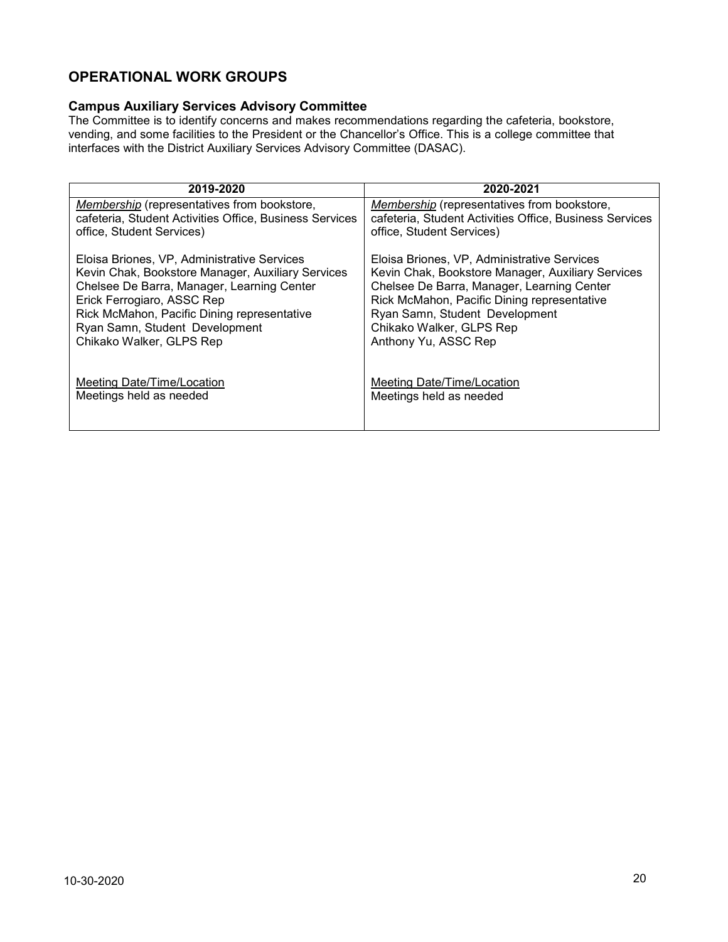# <span id="page-19-1"></span><span id="page-19-0"></span>**OPERATIONAL WORK GROUPS**

### **Campus Auxiliary Services Advisory Committee**

The Committee is to identify concerns and makes recommendations regarding the cafeteria, bookstore, vending, and some facilities to the President or the Chancellor's Office. This is a college committee that interfaces with the District Auxiliary Services Advisory Committee (DASAC).

| 2019-2020                                               | 2020-2021                                               |
|---------------------------------------------------------|---------------------------------------------------------|
| Membership (representatives from bookstore,             | Membership (representatives from bookstore,             |
| cafeteria, Student Activities Office, Business Services | cafeteria, Student Activities Office, Business Services |
| office, Student Services)                               | office, Student Services)                               |
| Eloisa Briones, VP, Administrative Services             | Eloisa Briones, VP, Administrative Services             |
| Kevin Chak, Bookstore Manager, Auxiliary Services       | Kevin Chak, Bookstore Manager, Auxiliary Services       |
| Chelsee De Barra, Manager, Learning Center              | Chelsee De Barra, Manager, Learning Center              |
| Erick Ferrogiaro, ASSC Rep                              | Rick McMahon, Pacific Dining representative             |
| Rick McMahon, Pacific Dining representative             | Ryan Samn, Student Development                          |
| Ryan Samn, Student Development                          | Chikako Walker, GLPS Rep                                |
| Chikako Walker, GLPS Rep                                | Anthony Yu, ASSC Rep                                    |
| Meeting Date/Time/Location                              | Meeting Date/Time/Location                              |
| Meetings held as needed                                 | Meetings held as needed                                 |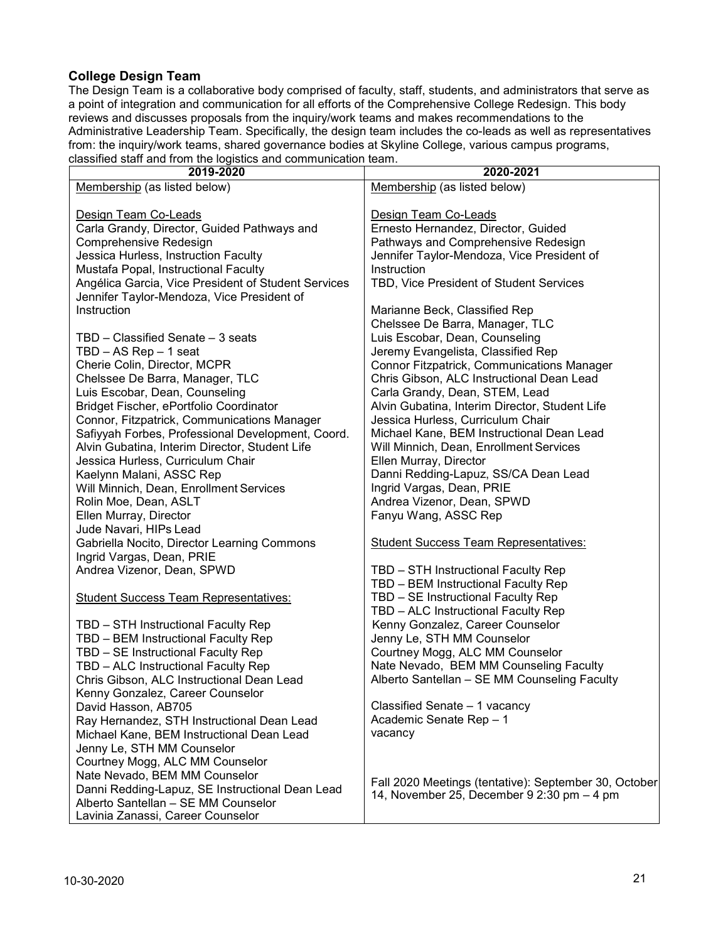### <span id="page-20-0"></span>**College Design Team**

The Design Team is a collaborative body comprised of faculty, staff, students, and administrators that serve as a point of integration and communication for all efforts of the Comprehensive College Redesign. This body reviews and discusses proposals from the inquiry/work teams and makes recommendations to the Administrative Leadership Team. Specifically, the design team includes the co-leads as well as representatives from: the inquiry/work teams, shared governance bodies at Skyline College, various campus programs, classified staff and from the logistics and communication team.

| classified staff and from the logistics and communication team.<br>2019-2020 | 2020-2021                                             |
|------------------------------------------------------------------------------|-------------------------------------------------------|
|                                                                              |                                                       |
| Membership (as listed below)                                                 | Membership (as listed below)                          |
|                                                                              |                                                       |
| Design Team Co-Leads                                                         | Design Team Co-Leads                                  |
| Carla Grandy, Director, Guided Pathways and                                  | Ernesto Hernandez, Director, Guided                   |
| Comprehensive Redesign                                                       | Pathways and Comprehensive Redesign                   |
| Jessica Hurless, Instruction Faculty                                         | Jennifer Taylor-Mendoza, Vice President of            |
| Mustafa Popal, Instructional Faculty                                         | Instruction                                           |
|                                                                              |                                                       |
| Angélica Garcia, Vice President of Student Services                          | TBD, Vice President of Student Services               |
| Jennifer Taylor-Mendoza, Vice President of                                   |                                                       |
| Instruction                                                                  | Marianne Beck, Classified Rep                         |
|                                                                              | Chelssee De Barra, Manager, TLC                       |
| TBD - Classified Senate - 3 seats                                            | Luis Escobar, Dean, Counseling                        |
| TBD - AS Rep - 1 seat                                                        | Jeremy Evangelista, Classified Rep                    |
| Cherie Colin, Director, MCPR                                                 | Connor Fitzpatrick, Communications Manager            |
| Chelssee De Barra, Manager, TLC                                              | Chris Gibson, ALC Instructional Dean Lead             |
| Luis Escobar, Dean, Counseling                                               | Carla Grandy, Dean, STEM, Lead                        |
|                                                                              |                                                       |
| Bridget Fischer, ePortfolio Coordinator                                      | Alvin Gubatina, Interim Director, Student Life        |
| Connor, Fitzpatrick, Communications Manager                                  | Jessica Hurless, Curriculum Chair                     |
| Safiyyah Forbes, Professional Development, Coord.                            | Michael Kane, BEM Instructional Dean Lead             |
| Alvin Gubatina, Interim Director, Student Life                               | Will Minnich, Dean, Enrollment Services               |
| Jessica Hurless, Curriculum Chair                                            | Ellen Murray, Director                                |
| Kaelynn Malani, ASSC Rep                                                     | Danni Redding-Lapuz, SS/CA Dean Lead                  |
| Will Minnich, Dean, Enrollment Services                                      | Ingrid Vargas, Dean, PRIE                             |
| Rolin Moe, Dean, ASLT                                                        | Andrea Vizenor, Dean, SPWD                            |
|                                                                              | Fanyu Wang, ASSC Rep                                  |
| Ellen Murray, Director                                                       |                                                       |
| Jude Navari, HIPs Lead                                                       |                                                       |
| Gabriella Nocito, Director Learning Commons                                  | <b>Student Success Team Representatives:</b>          |
| Ingrid Vargas, Dean, PRIE                                                    |                                                       |
| Andrea Vizenor, Dean, SPWD                                                   | TBD - STH Instructional Faculty Rep                   |
|                                                                              | TBD - BEM Instructional Faculty Rep                   |
| <b>Student Success Team Representatives:</b>                                 | TBD - SE Instructional Faculty Rep                    |
|                                                                              | TBD - ALC Instructional Faculty Rep                   |
| TBD - STH Instructional Faculty Rep                                          | Kenny Gonzalez, Career Counselor                      |
| TBD - BEM Instructional Faculty Rep                                          | Jenny Le, STH MM Counselor                            |
|                                                                              |                                                       |
| TBD - SE Instructional Faculty Rep                                           | Courtney Mogg, ALC MM Counselor                       |
| TBD - ALC Instructional Faculty Rep                                          | Nate Nevado, BEM MM Counseling Faculty                |
| Chris Gibson, ALC Instructional Dean Lead                                    | Alberto Santellan - SE MM Counseling Faculty          |
| Kenny Gonzalez, Career Counselor                                             |                                                       |
| David Hasson, AB705                                                          | Classified Senate - 1 vacancy                         |
| Ray Hernandez, STH Instructional Dean Lead                                   | Academic Senate Rep - 1                               |
| Michael Kane, BEM Instructional Dean Lead                                    | vacancy                                               |
| Jenny Le, STH MM Counselor                                                   |                                                       |
|                                                                              |                                                       |
| Courtney Mogg, ALC MM Counselor                                              |                                                       |
| Nate Nevado, BEM MM Counselor                                                | Fall 2020 Meetings (tentative): September 30, October |
| Danni Redding-Lapuz, SE Instructional Dean Lead                              | 14, November 25, December 9 2:30 pm - 4 pm            |
| Alberto Santellan - SE MM Counselor                                          |                                                       |
| Lavinia Zanassi, Career Counselor                                            |                                                       |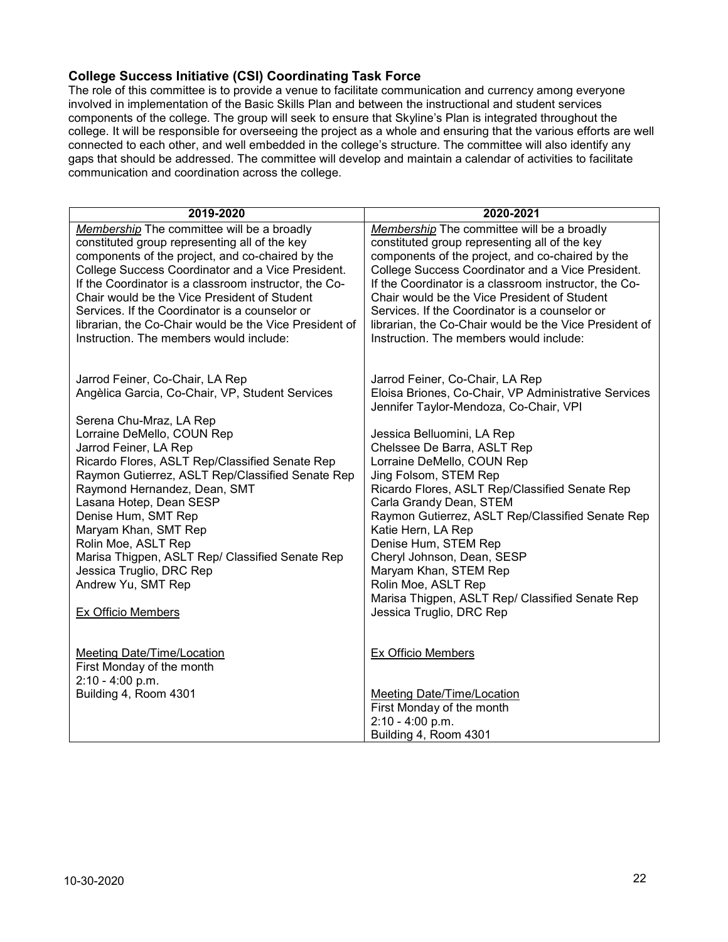#### <span id="page-21-0"></span>**College Success Initiative (CSI) Coordinating Task Force**

The role of this committee is to provide a venue to facilitate communication and currency among everyone involved in implementation of the Basic Skills Plan and between the instructional and student services components of the college. The group will seek to ensure that Skyline's Plan is integrated throughout the college. It will be responsible for overseeing the project as a whole and ensuring that the various efforts are well connected to each other, and well embedded in the college's structure. The committee will also identify any gaps that should be addressed. The committee will develop and maintain a calendar of activities to facilitate communication and coordination across the college.

| 2019-2020                                                                                                                                                                                                                                                                                                                                                                                                                                                                                                                              | 2020-2021                                                                                                                                                                                                                                                                                                                                                                                                                                                                                                                                                                                         |
|----------------------------------------------------------------------------------------------------------------------------------------------------------------------------------------------------------------------------------------------------------------------------------------------------------------------------------------------------------------------------------------------------------------------------------------------------------------------------------------------------------------------------------------|---------------------------------------------------------------------------------------------------------------------------------------------------------------------------------------------------------------------------------------------------------------------------------------------------------------------------------------------------------------------------------------------------------------------------------------------------------------------------------------------------------------------------------------------------------------------------------------------------|
| Membership The committee will be a broadly<br>constituted group representing all of the key<br>components of the project, and co-chaired by the<br>College Success Coordinator and a Vice President.<br>If the Coordinator is a classroom instructor, the Co-<br>Chair would be the Vice President of Student<br>Services. If the Coordinator is a counselor or<br>librarian, the Co-Chair would be the Vice President of<br>Instruction. The members would include:                                                                   | Membership The committee will be a broadly<br>constituted group representing all of the key<br>components of the project, and co-chaired by the<br>College Success Coordinator and a Vice President.<br>If the Coordinator is a classroom instructor, the Co-<br>Chair would be the Vice President of Student<br>Services. If the Coordinator is a counselor or<br>librarian, the Co-Chair would be the Vice President of<br>Instruction. The members would include:                                                                                                                              |
| Jarrod Feiner, Co-Chair, LA Rep<br>Angèlica Garcia, Co-Chair, VP, Student Services<br>Serena Chu-Mraz, LA Rep<br>Lorraine DeMello, COUN Rep<br>Jarrod Feiner, LA Rep<br>Ricardo Flores, ASLT Rep/Classified Senate Rep<br>Raymon Gutierrez, ASLT Rep/Classified Senate Rep<br>Raymond Hernandez, Dean, SMT<br>Lasana Hotep, Dean SESP<br>Denise Hum, SMT Rep<br>Maryam Khan, SMT Rep<br>Rolin Moe, ASLT Rep<br>Marisa Thigpen, ASLT Rep/ Classified Senate Rep<br>Jessica Truglio, DRC Rep<br>Andrew Yu, SMT Rep<br>Ex Officio Members | Jarrod Feiner, Co-Chair, LA Rep<br>Eloisa Briones, Co-Chair, VP Administrative Services<br>Jennifer Taylor-Mendoza, Co-Chair, VPI<br>Jessica Belluomini, LA Rep<br>Chelssee De Barra, ASLT Rep<br>Lorraine DeMello, COUN Rep<br>Jing Folsom, STEM Rep<br>Ricardo Flores, ASLT Rep/Classified Senate Rep<br>Carla Grandy Dean, STEM<br>Raymon Gutierrez, ASLT Rep/Classified Senate Rep<br>Katie Hern, LA Rep<br>Denise Hum, STEM Rep<br>Cheryl Johnson, Dean, SESP<br>Maryam Khan, STEM Rep<br>Rolin Moe, ASLT Rep<br>Marisa Thigpen, ASLT Rep/ Classified Senate Rep<br>Jessica Truglio, DRC Rep |
| Meeting Date/Time/Location<br>First Monday of the month<br>2:10 - 4:00 p.m.<br>Building 4, Room 4301                                                                                                                                                                                                                                                                                                                                                                                                                                   | Ex Officio Members<br><b>Meeting Date/Time/Location</b><br>First Monday of the month<br>2:10 - 4:00 p.m.<br>Building 4, Room 4301                                                                                                                                                                                                                                                                                                                                                                                                                                                                 |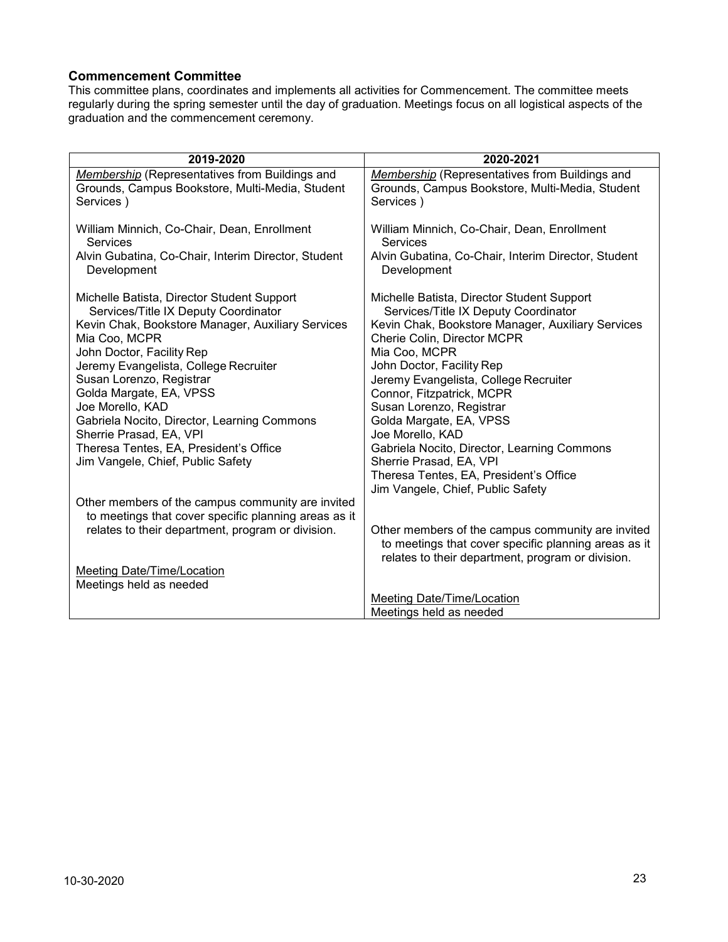#### <span id="page-22-0"></span>**Commencement Committee**

This committee plans, coordinates and implements all activities for Commencement. The committee meets regularly during the spring semester until the day of graduation. Meetings focus on all logistical aspects of the graduation and the commencement ceremony.

| 2019-2020                                                                                                             | 2020-2021                                                                                                                                                      |
|-----------------------------------------------------------------------------------------------------------------------|----------------------------------------------------------------------------------------------------------------------------------------------------------------|
| <b>Membership</b> (Representatives from Buildings and<br>Grounds, Campus Bookstore, Multi-Media, Student<br>Services) | <b>Membership</b> (Representatives from Buildings and<br>Grounds, Campus Bookstore, Multi-Media, Student<br>Services)                                          |
| William Minnich, Co-Chair, Dean, Enrollment<br><b>Services</b>                                                        | William Minnich, Co-Chair, Dean, Enrollment<br>Services                                                                                                        |
| Alvin Gubatina, Co-Chair, Interim Director, Student<br>Development                                                    | Alvin Gubatina, Co-Chair, Interim Director, Student<br>Development                                                                                             |
| Michelle Batista, Director Student Support<br>Services/Title IX Deputy Coordinator                                    | Michelle Batista, Director Student Support<br>Services/Title IX Deputy Coordinator                                                                             |
| Kevin Chak, Bookstore Manager, Auxiliary Services<br>Mia Coo, MCPR                                                    | Kevin Chak, Bookstore Manager, Auxiliary Services<br>Cherie Colin, Director MCPR                                                                               |
| John Doctor, Facility Rep                                                                                             | Mia Coo, MCPR                                                                                                                                                  |
| Jeremy Evangelista, College Recruiter                                                                                 | John Doctor, Facility Rep                                                                                                                                      |
| Susan Lorenzo, Registrar<br>Golda Margate, EA, VPSS                                                                   | Jeremy Evangelista, College Recruiter<br>Connor, Fitzpatrick, MCPR                                                                                             |
| Joe Morello, KAD                                                                                                      | Susan Lorenzo, Registrar                                                                                                                                       |
| Gabriela Nocito, Director, Learning Commons                                                                           | Golda Margate, EA, VPSS                                                                                                                                        |
| Sherrie Prasad, EA, VPI                                                                                               | Joe Morello, KAD                                                                                                                                               |
| Theresa Tentes, EA, President's Office                                                                                | Gabriela Nocito, Director, Learning Commons                                                                                                                    |
| Jim Vangele, Chief, Public Safety                                                                                     | Sherrie Prasad, EA, VPI<br>Theresa Tentes, EA, President's Office                                                                                              |
|                                                                                                                       | Jim Vangele, Chief, Public Safety                                                                                                                              |
| Other members of the campus community are invited                                                                     |                                                                                                                                                                |
| to meetings that cover specific planning areas as it                                                                  |                                                                                                                                                                |
| relates to their department, program or division.                                                                     | Other members of the campus community are invited<br>to meetings that cover specific planning areas as it<br>relates to their department, program or division. |
| <b>Meeting Date/Time/Location</b>                                                                                     |                                                                                                                                                                |
| Meetings held as needed                                                                                               |                                                                                                                                                                |
|                                                                                                                       | Meeting Date/Time/Location                                                                                                                                     |
|                                                                                                                       | Meetings held as needed                                                                                                                                        |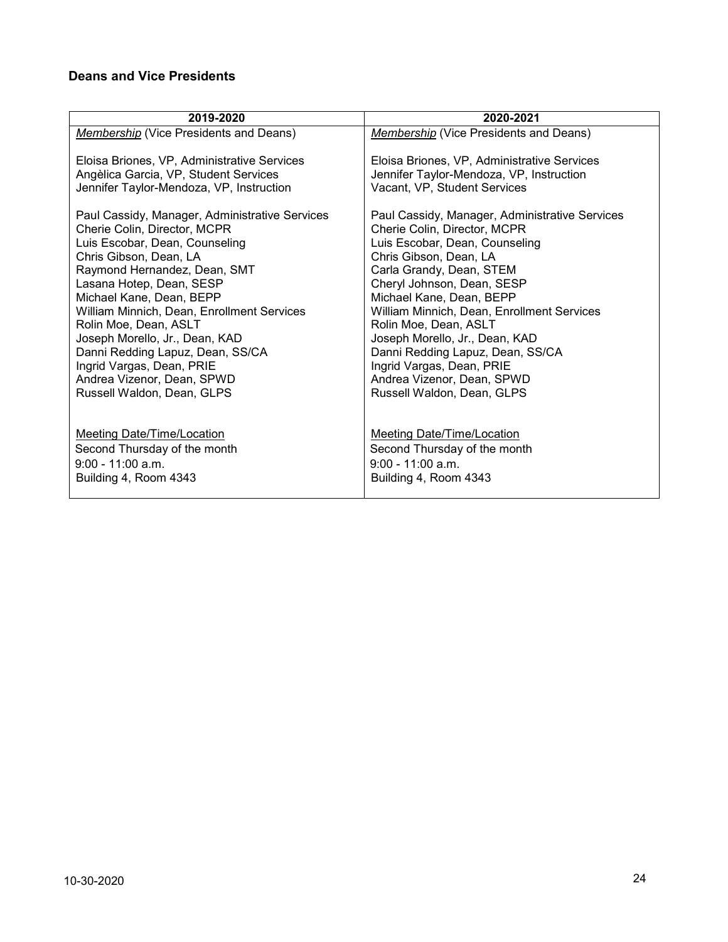# <span id="page-23-0"></span>**Deans and Vice Presidents**

| 2019-2020                                      | 2020-2021                                      |
|------------------------------------------------|------------------------------------------------|
| <b>Membership (Vice Presidents and Deans)</b>  | <b>Membership (Vice Presidents and Deans)</b>  |
|                                                |                                                |
| Eloisa Briones, VP, Administrative Services    | Eloisa Briones, VP, Administrative Services    |
| Angèlica Garcia, VP, Student Services          | Jennifer Taylor-Mendoza, VP, Instruction       |
| Jennifer Taylor-Mendoza, VP, Instruction       | Vacant, VP, Student Services                   |
| Paul Cassidy, Manager, Administrative Services | Paul Cassidy, Manager, Administrative Services |
| Cherie Colin, Director, MCPR                   | Cherie Colin, Director, MCPR                   |
| Luis Escobar, Dean, Counseling                 | Luis Escobar, Dean, Counseling                 |
| Chris Gibson, Dean, LA                         | Chris Gibson, Dean, LA                         |
| Raymond Hernandez, Dean, SMT                   | Carla Grandy, Dean, STEM                       |
| Lasana Hotep, Dean, SESP                       | Cheryl Johnson, Dean, SESP                     |
| Michael Kane, Dean, BEPP                       | Michael Kane, Dean, BEPP                       |
| William Minnich, Dean, Enrollment Services     | William Minnich, Dean, Enrollment Services     |
| Rolin Moe, Dean, ASLT                          | Rolin Moe, Dean, ASLT                          |
| Joseph Morello, Jr., Dean, KAD                 | Joseph Morello, Jr., Dean, KAD                 |
| Danni Redding Lapuz, Dean, SS/CA               | Danni Redding Lapuz, Dean, SS/CA               |
| Ingrid Vargas, Dean, PRIE                      | Ingrid Vargas, Dean, PRIE                      |
| Andrea Vizenor, Dean, SPWD                     | Andrea Vizenor, Dean, SPWD                     |
| Russell Waldon, Dean, GLPS                     | Russell Waldon, Dean, GLPS                     |
|                                                |                                                |
| <b>Meeting Date/Time/Location</b>              | <b>Meeting Date/Time/Location</b>              |
| Second Thursday of the month                   | Second Thursday of the month                   |
| $9:00 - 11:00$ a.m.                            | $9:00 - 11:00$ a.m.                            |
| Building 4, Room 4343                          | Building 4, Room 4343                          |
|                                                |                                                |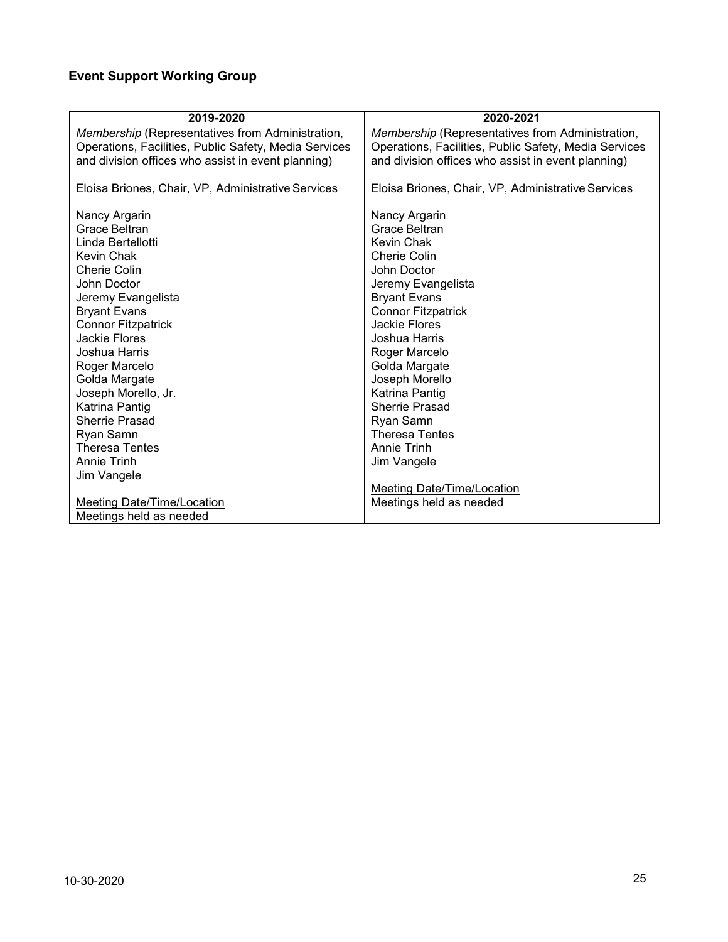# <span id="page-24-0"></span>**Event Support Working Group**

| 2019-2020                                               | 2020-2021                                               |
|---------------------------------------------------------|---------------------------------------------------------|
| <b>Membership</b> (Representatives from Administration, | <b>Membership</b> (Representatives from Administration, |
| Operations, Facilities, Public Safety, Media Services   | Operations, Facilities, Public Safety, Media Services   |
| and division offices who assist in event planning)      | and division offices who assist in event planning)      |
| Eloisa Briones, Chair, VP, Administrative Services      | Eloisa Briones, Chair, VP, Administrative Services      |
| Nancy Argarin                                           | Nancy Argarin                                           |
| Grace Beltran                                           | Grace Beltran                                           |
| Linda Bertellotti                                       | Kevin Chak                                              |
| Kevin Chak                                              | <b>Cherie Colin</b>                                     |
| Cherie Colin                                            | John Doctor                                             |
| John Doctor                                             | Jeremy Evangelista                                      |
| Jeremy Evangelista                                      | <b>Bryant Evans</b>                                     |
| <b>Bryant Evans</b>                                     | <b>Connor Fitzpatrick</b>                               |
| <b>Connor Fitzpatrick</b>                               | Jackie Flores                                           |
| Jackie Flores                                           | Joshua Harris                                           |
| Joshua Harris                                           | Roger Marcelo                                           |
| Roger Marcelo                                           | Golda Margate                                           |
| Golda Margate                                           | Joseph Morello                                          |
| Joseph Morello, Jr.                                     | Katrina Pantig                                          |
| Katrina Pantig                                          | <b>Sherrie Prasad</b>                                   |
| <b>Sherrie Prasad</b>                                   | Ryan Samn                                               |
| Ryan Samn                                               | <b>Theresa Tentes</b>                                   |
| <b>Theresa Tentes</b>                                   | Annie Trinh                                             |
| <b>Annie Trinh</b>                                      | Jim Vangele                                             |
| Jim Vangele                                             |                                                         |
|                                                         | <b>Meeting Date/Time/Location</b>                       |
| <b>Meeting Date/Time/Location</b>                       | Meetings held as needed                                 |
| Meetings held as needed                                 |                                                         |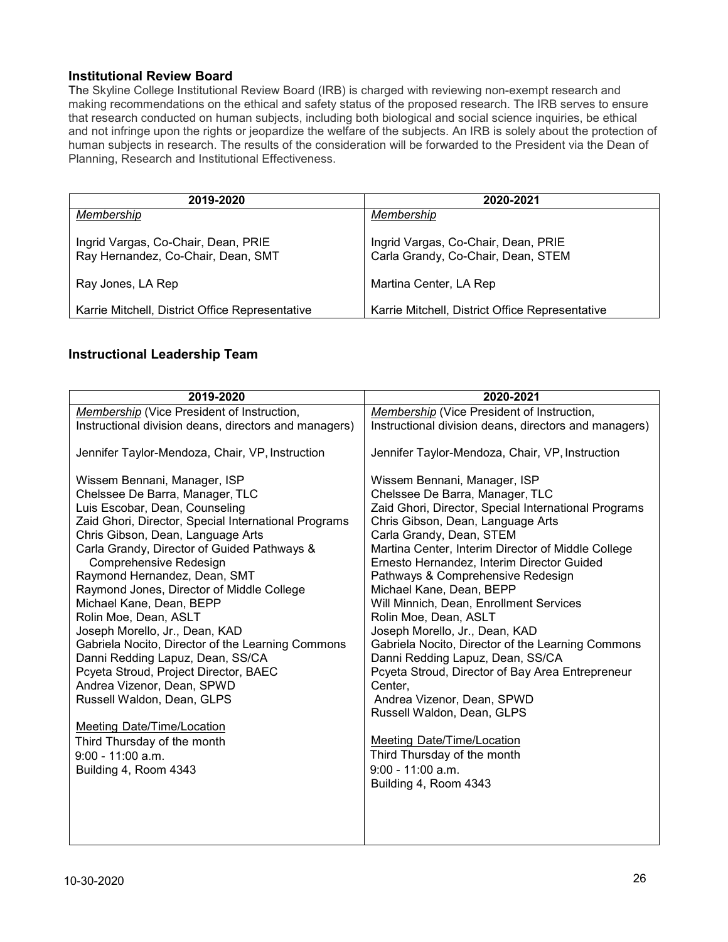#### <span id="page-25-0"></span>**Institutional Review Board**

The Skyline College Institutional Review Board (IRB) is charged with reviewing non-exempt research and making recommendations on the ethical and safety status of the proposed research. The IRB serves to ensure that research conducted on human subjects, including both biological and social science inquiries, be ethical and not infringe upon the rights or jeopardize the welfare of the subjects. An IRB is solely about the protection of human subjects in research. The results of the consideration will be forwarded to the President via the Dean of Planning, Research and Institutional Effectiveness.

| 2019-2020                                                                 | 2020-2021                                                                 |
|---------------------------------------------------------------------------|---------------------------------------------------------------------------|
| Membership                                                                | Membership                                                                |
| Ingrid Vargas, Co-Chair, Dean, PRIE<br>Ray Hernandez, Co-Chair, Dean, SMT | Ingrid Vargas, Co-Chair, Dean, PRIE<br>Carla Grandy, Co-Chair, Dean, STEM |
| Ray Jones, LA Rep                                                         | Martina Center, LA Rep                                                    |
| Karrie Mitchell, District Office Representative                           | Karrie Mitchell, District Office Representative                           |

#### <span id="page-25-1"></span>**Instructional Leadership Team**

| 2019-2020                                                                                                                                                                                                                                                                                                                                                                                                                                                                                                                                                                                                   | 2020-2021                                                                                                                                                                                                                                                                                                                                                                                                                                                                                                                                                                                                                   |
|-------------------------------------------------------------------------------------------------------------------------------------------------------------------------------------------------------------------------------------------------------------------------------------------------------------------------------------------------------------------------------------------------------------------------------------------------------------------------------------------------------------------------------------------------------------------------------------------------------------|-----------------------------------------------------------------------------------------------------------------------------------------------------------------------------------------------------------------------------------------------------------------------------------------------------------------------------------------------------------------------------------------------------------------------------------------------------------------------------------------------------------------------------------------------------------------------------------------------------------------------------|
| Membership (Vice President of Instruction,                                                                                                                                                                                                                                                                                                                                                                                                                                                                                                                                                                  | Membership (Vice President of Instruction,                                                                                                                                                                                                                                                                                                                                                                                                                                                                                                                                                                                  |
| Instructional division deans, directors and managers)                                                                                                                                                                                                                                                                                                                                                                                                                                                                                                                                                       | Instructional division deans, directors and managers)                                                                                                                                                                                                                                                                                                                                                                                                                                                                                                                                                                       |
| Jennifer Taylor-Mendoza, Chair, VP, Instruction                                                                                                                                                                                                                                                                                                                                                                                                                                                                                                                                                             | Jennifer Taylor-Mendoza, Chair, VP, Instruction                                                                                                                                                                                                                                                                                                                                                                                                                                                                                                                                                                             |
| Wissem Bennani, Manager, ISP<br>Chelssee De Barra, Manager, TLC<br>Luis Escobar, Dean, Counseling<br>Zaid Ghori, Director, Special International Programs<br>Chris Gibson, Dean, Language Arts<br>Carla Grandy, Director of Guided Pathways &<br>Comprehensive Redesign<br>Raymond Hernandez, Dean, SMT<br>Raymond Jones, Director of Middle College<br>Michael Kane, Dean, BEPP<br>Rolin Moe, Dean, ASLT<br>Joseph Morello, Jr., Dean, KAD<br>Gabriela Nocito, Director of the Learning Commons<br>Danni Redding Lapuz, Dean, SS/CA<br>Pcyeta Stroud, Project Director, BAEC<br>Andrea Vizenor, Dean, SPWD | Wissem Bennani, Manager, ISP<br>Chelssee De Barra, Manager, TLC<br>Zaid Ghori, Director, Special International Programs<br>Chris Gibson, Dean, Language Arts<br>Carla Grandy, Dean, STEM<br>Martina Center, Interim Director of Middle College<br>Ernesto Hernandez, Interim Director Guided<br>Pathways & Comprehensive Redesign<br>Michael Kane, Dean, BEPP<br>Will Minnich, Dean, Enrollment Services<br>Rolin Moe, Dean, ASLT<br>Joseph Morello, Jr., Dean, KAD<br>Gabriela Nocito, Director of the Learning Commons<br>Danni Redding Lapuz, Dean, SS/CA<br>Pcyeta Stroud, Director of Bay Area Entrepreneur<br>Center. |
| Russell Waldon, Dean, GLPS                                                                                                                                                                                                                                                                                                                                                                                                                                                                                                                                                                                  | Andrea Vizenor, Dean, SPWD<br>Russell Waldon, Dean, GLPS                                                                                                                                                                                                                                                                                                                                                                                                                                                                                                                                                                    |
| Meeting Date/Time/Location                                                                                                                                                                                                                                                                                                                                                                                                                                                                                                                                                                                  |                                                                                                                                                                                                                                                                                                                                                                                                                                                                                                                                                                                                                             |
| Third Thursday of the month                                                                                                                                                                                                                                                                                                                                                                                                                                                                                                                                                                                 | <b>Meeting Date/Time/Location</b>                                                                                                                                                                                                                                                                                                                                                                                                                                                                                                                                                                                           |
| $9:00 - 11:00$ a.m.                                                                                                                                                                                                                                                                                                                                                                                                                                                                                                                                                                                         | Third Thursday of the month                                                                                                                                                                                                                                                                                                                                                                                                                                                                                                                                                                                                 |
| Building 4, Room 4343                                                                                                                                                                                                                                                                                                                                                                                                                                                                                                                                                                                       | $9:00 - 11:00$ a.m.                                                                                                                                                                                                                                                                                                                                                                                                                                                                                                                                                                                                         |
|                                                                                                                                                                                                                                                                                                                                                                                                                                                                                                                                                                                                             | Building 4, Room 4343                                                                                                                                                                                                                                                                                                                                                                                                                                                                                                                                                                                                       |
|                                                                                                                                                                                                                                                                                                                                                                                                                                                                                                                                                                                                             |                                                                                                                                                                                                                                                                                                                                                                                                                                                                                                                                                                                                                             |
|                                                                                                                                                                                                                                                                                                                                                                                                                                                                                                                                                                                                             |                                                                                                                                                                                                                                                                                                                                                                                                                                                                                                                                                                                                                             |
|                                                                                                                                                                                                                                                                                                                                                                                                                                                                                                                                                                                                             |                                                                                                                                                                                                                                                                                                                                                                                                                                                                                                                                                                                                                             |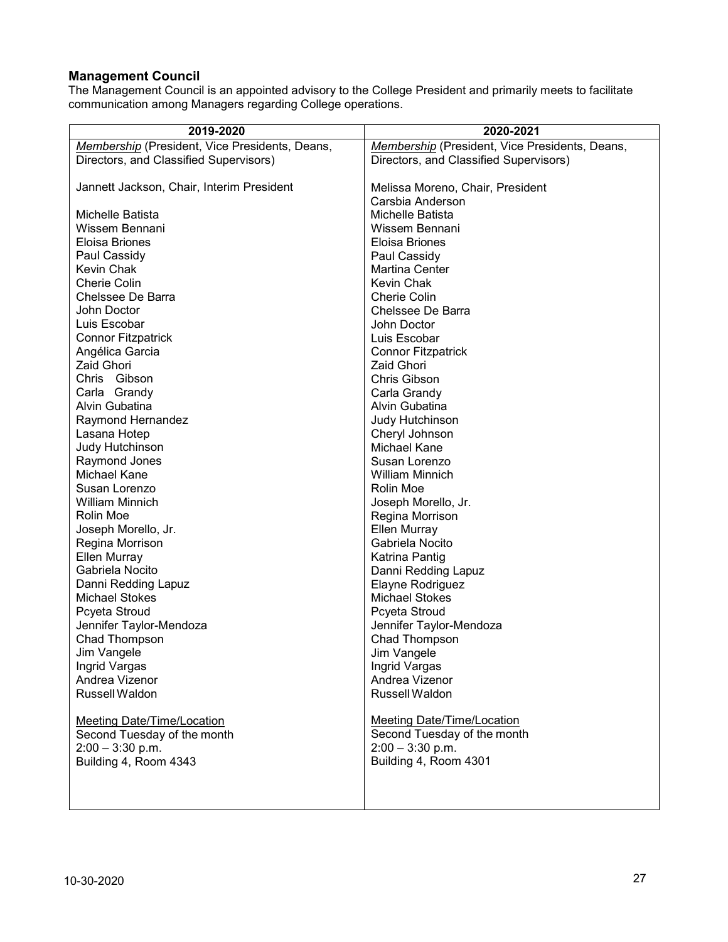### <span id="page-26-0"></span>**Management Council**

The Management Council is an appointed advisory to the College President and primarily meets to facilitate communication among Managers regarding College operations.

| 2019-2020                                         | 2020-2021                                                        |
|---------------------------------------------------|------------------------------------------------------------------|
| Membership (President, Vice Presidents, Deans,    | Membership (President, Vice Presidents, Deans,                   |
| Directors, and Classified Supervisors)            | Directors, and Classified Supervisors)                           |
|                                                   |                                                                  |
| Jannett Jackson, Chair, Interim President         | Melissa Moreno, Chair, President                                 |
|                                                   | Carsbia Anderson                                                 |
| Michelle Batista                                  | Michelle Batista                                                 |
| Wissem Bennani                                    | Wissem Bennani                                                   |
| Eloisa Briones                                    | Eloisa Briones                                                   |
| Paul Cassidy                                      | Paul Cassidy                                                     |
| <b>Kevin Chak</b>                                 | <b>Martina Center</b>                                            |
| <b>Cherie Colin</b>                               | Kevin Chak                                                       |
| Chelssee De Barra                                 | <b>Cherie Colin</b>                                              |
| John Doctor                                       | Chelssee De Barra                                                |
| Luis Escobar                                      | John Doctor                                                      |
| <b>Connor Fitzpatrick</b>                         | Luis Escobar                                                     |
| Angélica Garcia                                   | <b>Connor Fitzpatrick</b>                                        |
| Zaid Ghori                                        | <b>Zaid Ghori</b>                                                |
| Chris Gibson                                      | Chris Gibson                                                     |
| Carla Grandy                                      | Carla Grandy                                                     |
| Alvin Gubatina                                    | Alvin Gubatina                                                   |
| Raymond Hernandez                                 | Judy Hutchinson                                                  |
| Lasana Hotep                                      | Cheryl Johnson                                                   |
| Judy Hutchinson                                   | <b>Michael Kane</b>                                              |
| Raymond Jones                                     | Susan Lorenzo                                                    |
| Michael Kane                                      | <b>William Minnich</b>                                           |
| Susan Lorenzo                                     | Rolin Moe                                                        |
| <b>William Minnich</b>                            | Joseph Morello, Jr.                                              |
| Rolin Moe                                         | Regina Morrison                                                  |
| Joseph Morello, Jr.                               | <b>Ellen Murray</b>                                              |
| Regina Morrison                                   | Gabriela Nocito                                                  |
| Ellen Murray                                      | Katrina Pantig                                                   |
| Gabriela Nocito                                   | Danni Redding Lapuz                                              |
| Danni Redding Lapuz                               | Elayne Rodriguez                                                 |
| <b>Michael Stokes</b>                             | <b>Michael Stokes</b>                                            |
| Pcyeta Stroud                                     | Pcyeta Stroud                                                    |
| Jennifer Taylor-Mendoza                           | Jennifer Taylor-Mendoza                                          |
| Chad Thompson                                     | Chad Thompson                                                    |
| Jim Vangele                                       | Jim Vangele                                                      |
| Ingrid Vargas                                     | Ingrid Vargas                                                    |
| Andrea Vizenor                                    | Andrea Vizenor                                                   |
| Russell Waldon                                    | Russell Waldon                                                   |
|                                                   |                                                                  |
| <b>Meeting Date/Time/Location</b>                 | <b>Meeting Date/Time/Location</b><br>Second Tuesday of the month |
| Second Tuesday of the month<br>$2:00 - 3:30$ p.m. | $2:00 - 3:30$ p.m.                                               |
| Building 4, Room 4343                             | Building 4, Room 4301                                            |
|                                                   |                                                                  |
|                                                   |                                                                  |
|                                                   |                                                                  |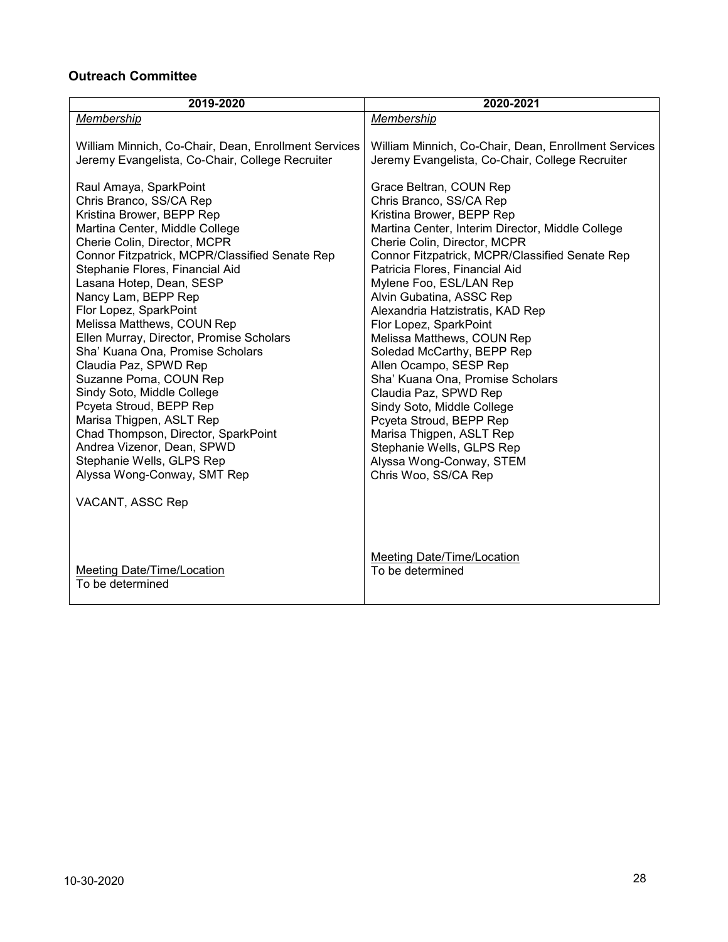# <span id="page-27-0"></span>**Outreach Committee**

| 2019-2020                                                                                                                                                                                                                                                                                                                                                                                                                                                                                                                                                                             | 2020-2021                                                                                                                                                                                                                                                                                                                                                                                                                                                                                                                                                      |
|---------------------------------------------------------------------------------------------------------------------------------------------------------------------------------------------------------------------------------------------------------------------------------------------------------------------------------------------------------------------------------------------------------------------------------------------------------------------------------------------------------------------------------------------------------------------------------------|----------------------------------------------------------------------------------------------------------------------------------------------------------------------------------------------------------------------------------------------------------------------------------------------------------------------------------------------------------------------------------------------------------------------------------------------------------------------------------------------------------------------------------------------------------------|
| Membership                                                                                                                                                                                                                                                                                                                                                                                                                                                                                                                                                                            | Membership                                                                                                                                                                                                                                                                                                                                                                                                                                                                                                                                                     |
| William Minnich, Co-Chair, Dean, Enrollment Services<br>Jeremy Evangelista, Co-Chair, College Recruiter<br>Raul Amaya, SparkPoint<br>Chris Branco, SS/CA Rep                                                                                                                                                                                                                                                                                                                                                                                                                          | William Minnich, Co-Chair, Dean, Enrollment Services<br>Jeremy Evangelista, Co-Chair, College Recruiter<br>Grace Beltran, COUN Rep<br>Chris Branco, SS/CA Rep                                                                                                                                                                                                                                                                                                                                                                                                  |
| Kristina Brower, BEPP Rep                                                                                                                                                                                                                                                                                                                                                                                                                                                                                                                                                             | Kristina Brower, BEPP Rep                                                                                                                                                                                                                                                                                                                                                                                                                                                                                                                                      |
| Martina Center, Middle College                                                                                                                                                                                                                                                                                                                                                                                                                                                                                                                                                        | Martina Center, Interim Director, Middle College                                                                                                                                                                                                                                                                                                                                                                                                                                                                                                               |
| Cherie Colin, Director, MCPR<br>Connor Fitzpatrick, MCPR/Classified Senate Rep<br>Stephanie Flores, Financial Aid<br>Lasana Hotep, Dean, SESP<br>Nancy Lam, BEPP Rep<br>Flor Lopez, SparkPoint<br>Melissa Matthews, COUN Rep<br>Ellen Murray, Director, Promise Scholars<br>Sha' Kuana Ona, Promise Scholars<br>Claudia Paz, SPWD Rep<br>Suzanne Poma, COUN Rep<br>Sindy Soto, Middle College<br>Pcyeta Stroud, BEPP Rep<br>Marisa Thigpen, ASLT Rep<br>Chad Thompson, Director, SparkPoint<br>Andrea Vizenor, Dean, SPWD<br>Stephanie Wells, GLPS Rep<br>Alyssa Wong-Conway, SMT Rep | Cherie Colin, Director, MCPR<br>Connor Fitzpatrick, MCPR/Classified Senate Rep<br>Patricia Flores, Financial Aid<br>Mylene Foo, ESL/LAN Rep<br>Alvin Gubatina, ASSC Rep<br>Alexandria Hatzistratis, KAD Rep<br>Flor Lopez, SparkPoint<br>Melissa Matthews, COUN Rep<br>Soledad McCarthy, BEPP Rep<br>Allen Ocampo, SESP Rep<br>Sha' Kuana Ona, Promise Scholars<br>Claudia Paz, SPWD Rep<br>Sindy Soto, Middle College<br>Pcyeta Stroud, BEPP Rep<br>Marisa Thigpen, ASLT Rep<br>Stephanie Wells, GLPS Rep<br>Alyssa Wong-Conway, STEM<br>Chris Woo, SS/CA Rep |
| VACANT, ASSC Rep                                                                                                                                                                                                                                                                                                                                                                                                                                                                                                                                                                      |                                                                                                                                                                                                                                                                                                                                                                                                                                                                                                                                                                |
| Meeting Date/Time/Location<br>To be determined                                                                                                                                                                                                                                                                                                                                                                                                                                                                                                                                        | <b>Meeting Date/Time/Location</b><br>To be determined                                                                                                                                                                                                                                                                                                                                                                                                                                                                                                          |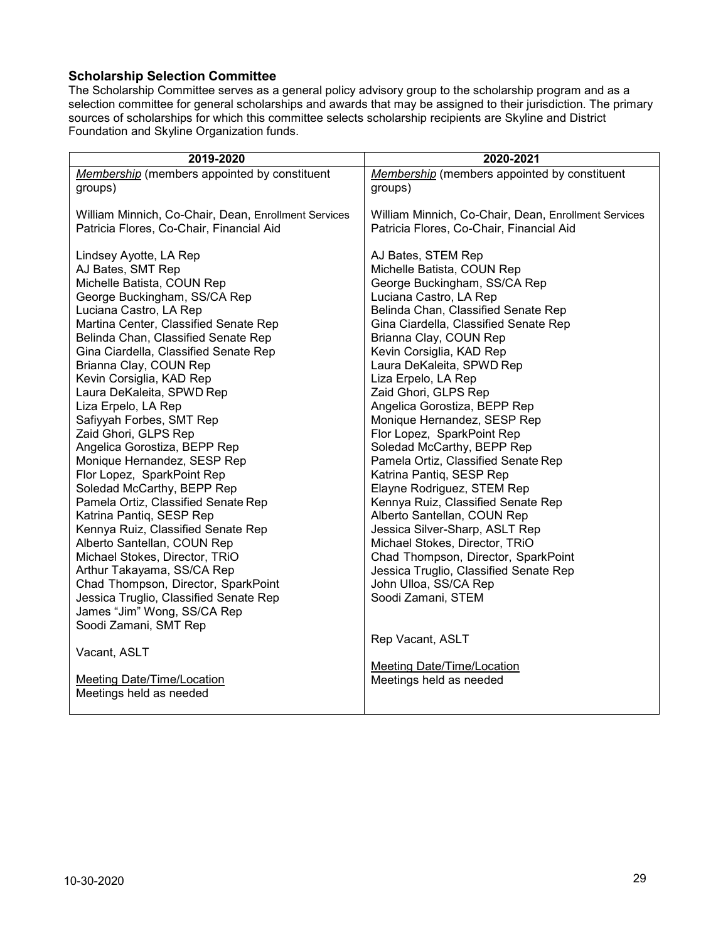### <span id="page-28-0"></span>**Scholarship Selection Committee**

The Scholarship Committee serves as a general policy advisory group to the scholarship program and as a selection committee for general scholarships and awards that may be assigned to their jurisdiction. The primary sources of scholarships for which this committee selects scholarship recipients are Skyline and District Foundation and Skyline Organization funds.

| 2019-2020                                                                                                                                                                                                                                                                                                                                                                                                                                                                                                                                                                                                                                                                                                                                                                                                                                                                                                              | 2020-2021                                                                                                                                                                                                                                                                                                                                                                                                                                                                                                                                                                                                                                                                                                                                                                                                                                             |
|------------------------------------------------------------------------------------------------------------------------------------------------------------------------------------------------------------------------------------------------------------------------------------------------------------------------------------------------------------------------------------------------------------------------------------------------------------------------------------------------------------------------------------------------------------------------------------------------------------------------------------------------------------------------------------------------------------------------------------------------------------------------------------------------------------------------------------------------------------------------------------------------------------------------|-------------------------------------------------------------------------------------------------------------------------------------------------------------------------------------------------------------------------------------------------------------------------------------------------------------------------------------------------------------------------------------------------------------------------------------------------------------------------------------------------------------------------------------------------------------------------------------------------------------------------------------------------------------------------------------------------------------------------------------------------------------------------------------------------------------------------------------------------------|
| Membership (members appointed by constituent                                                                                                                                                                                                                                                                                                                                                                                                                                                                                                                                                                                                                                                                                                                                                                                                                                                                           | Membership (members appointed by constituent                                                                                                                                                                                                                                                                                                                                                                                                                                                                                                                                                                                                                                                                                                                                                                                                          |
| groups)                                                                                                                                                                                                                                                                                                                                                                                                                                                                                                                                                                                                                                                                                                                                                                                                                                                                                                                | groups)                                                                                                                                                                                                                                                                                                                                                                                                                                                                                                                                                                                                                                                                                                                                                                                                                                               |
| William Minnich, Co-Chair, Dean, Enrollment Services                                                                                                                                                                                                                                                                                                                                                                                                                                                                                                                                                                                                                                                                                                                                                                                                                                                                   | William Minnich, Co-Chair, Dean, Enrollment Services                                                                                                                                                                                                                                                                                                                                                                                                                                                                                                                                                                                                                                                                                                                                                                                                  |
| Patricia Flores, Co-Chair, Financial Aid                                                                                                                                                                                                                                                                                                                                                                                                                                                                                                                                                                                                                                                                                                                                                                                                                                                                               | Patricia Flores, Co-Chair, Financial Aid                                                                                                                                                                                                                                                                                                                                                                                                                                                                                                                                                                                                                                                                                                                                                                                                              |
| Lindsey Ayotte, LA Rep<br>AJ Bates, SMT Rep<br>Michelle Batista, COUN Rep<br>George Buckingham, SS/CA Rep<br>Luciana Castro, LA Rep<br>Martina Center, Classified Senate Rep<br>Belinda Chan, Classified Senate Rep<br>Gina Ciardella, Classified Senate Rep<br>Brianna Clay, COUN Rep<br>Kevin Corsiglia, KAD Rep<br>Laura DeKaleita, SPWD Rep<br>Liza Erpelo, LA Rep<br>Safiyyah Forbes, SMT Rep<br>Zaid Ghori, GLPS Rep<br>Angelica Gorostiza, BEPP Rep<br>Monique Hernandez, SESP Rep<br>Flor Lopez, SparkPoint Rep<br>Soledad McCarthy, BEPP Rep<br>Pamela Ortiz, Classified Senate Rep<br>Katrina Pantiq, SESP Rep<br>Kennya Ruiz, Classified Senate Rep<br>Alberto Santellan, COUN Rep<br>Michael Stokes, Director, TRiO<br>Arthur Takayama, SS/CA Rep<br>Chad Thompson, Director, SparkPoint<br>Jessica Truglio, Classified Senate Rep<br>James "Jim" Wong, SS/CA Rep<br>Soodi Zamani, SMT Rep<br>Vacant, ASLT | AJ Bates, STEM Rep<br>Michelle Batista, COUN Rep<br>George Buckingham, SS/CA Rep<br>Luciana Castro, LA Rep<br>Belinda Chan, Classified Senate Rep<br>Gina Ciardella, Classified Senate Rep<br>Brianna Clay, COUN Rep<br>Kevin Corsiglia, KAD Rep<br>Laura DeKaleita, SPWD Rep<br>Liza Erpelo, LA Rep<br>Zaid Ghori, GLPS Rep<br>Angelica Gorostiza, BEPP Rep<br>Monique Hernandez, SESP Rep<br>Flor Lopez, SparkPoint Rep<br>Soledad McCarthy, BEPP Rep<br>Pamela Ortiz, Classified Senate Rep<br>Katrina Pantiq, SESP Rep<br>Elayne Rodriguez, STEM Rep<br>Kennya Ruiz, Classified Senate Rep<br>Alberto Santellan, COUN Rep<br>Jessica Silver-Sharp, ASLT Rep<br>Michael Stokes, Director, TRiO<br>Chad Thompson, Director, SparkPoint<br>Jessica Truglio, Classified Senate Rep<br>John Ulloa, SS/CA Rep<br>Soodi Zamani, STEM<br>Rep Vacant, ASLT |
| <b>Meeting Date/Time/Location</b>                                                                                                                                                                                                                                                                                                                                                                                                                                                                                                                                                                                                                                                                                                                                                                                                                                                                                      | Meeting Date/Time/Location                                                                                                                                                                                                                                                                                                                                                                                                                                                                                                                                                                                                                                                                                                                                                                                                                            |
| Meetings held as needed                                                                                                                                                                                                                                                                                                                                                                                                                                                                                                                                                                                                                                                                                                                                                                                                                                                                                                | Meetings held as needed                                                                                                                                                                                                                                                                                                                                                                                                                                                                                                                                                                                                                                                                                                                                                                                                                               |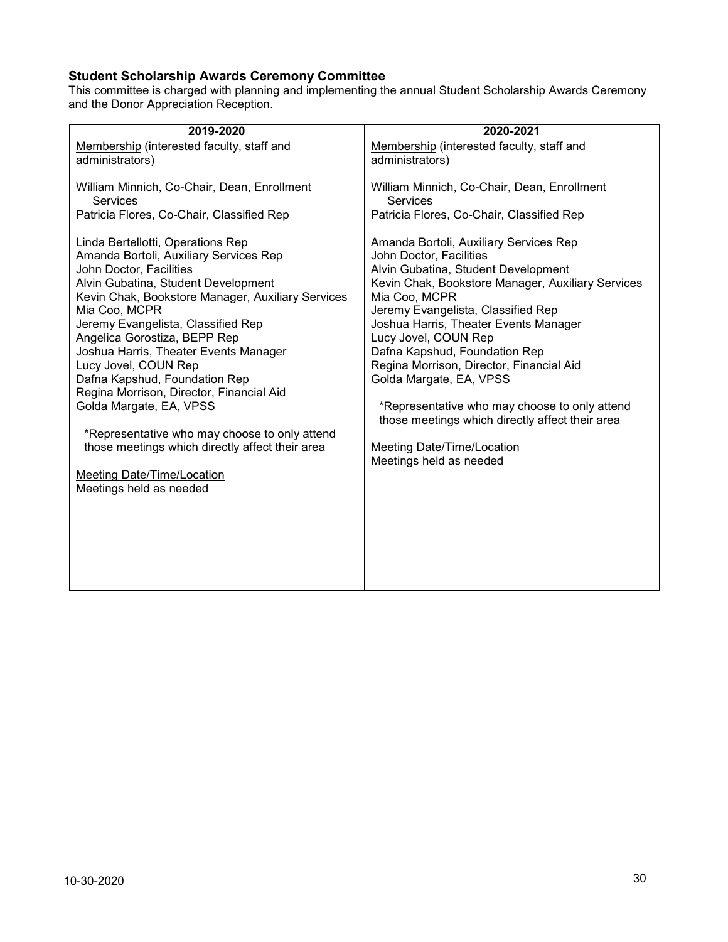# <span id="page-29-0"></span>**Student Scholarship Awards Ceremony Committee**

This committee is charged with planning and implementing the annual Student Scholarship Awards Ceremony and the Donor Appreciation Reception.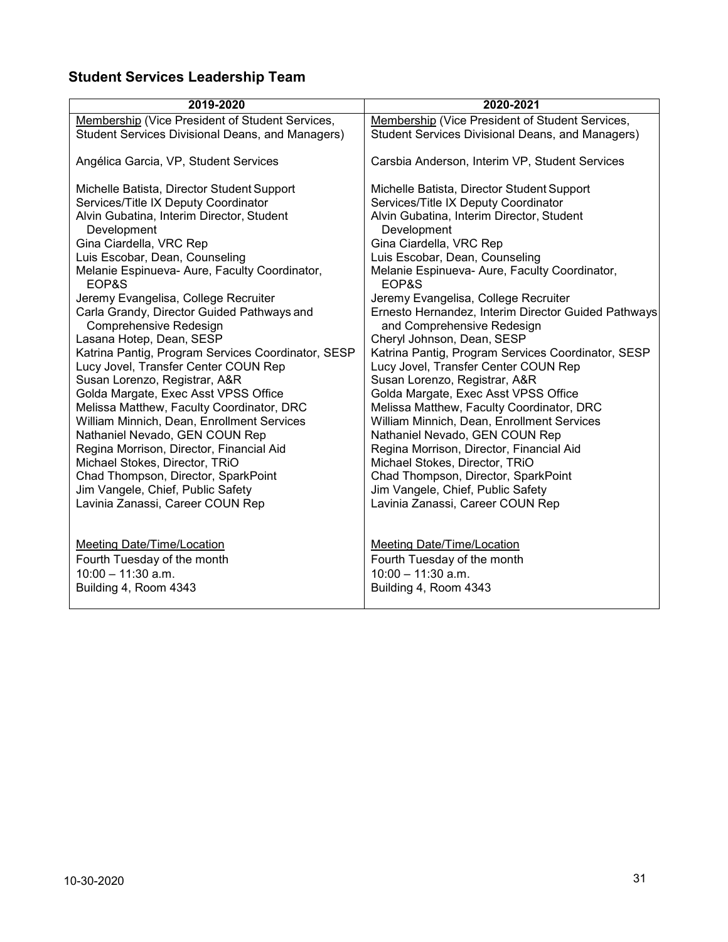# <span id="page-30-0"></span>**Student Services Leadership Team**

| 2019-2020                                                            | 2020-2021                                                                         |
|----------------------------------------------------------------------|-----------------------------------------------------------------------------------|
| Membership (Vice President of Student Services,                      | Membership (Vice President of Student Services,                                   |
| <b>Student Services Divisional Deans, and Managers)</b>              | <b>Student Services Divisional Deans, and Managers)</b>                           |
| Angélica Garcia, VP, Student Services                                | Carsbia Anderson, Interim VP, Student Services                                    |
| Michelle Batista, Director Student Support                           | Michelle Batista, Director Student Support                                        |
| Services/Title IX Deputy Coordinator                                 | Services/Title IX Deputy Coordinator                                              |
| Alvin Gubatina, Interim Director, Student<br>Development             | Alvin Gubatina, Interim Director, Student<br>Development                          |
| Gina Ciardella, VRC Rep                                              | Gina Ciardella, VRC Rep                                                           |
| Luis Escobar, Dean, Counseling                                       | Luis Escobar, Dean, Counseling                                                    |
| Melanie Espinueva- Aure, Faculty Coordinator,<br>EOP&S               | Melanie Espinueva- Aure, Faculty Coordinator,<br>EOP&S                            |
| Jeremy Evangelisa, College Recruiter                                 | Jeremy Evangelisa, College Recruiter                                              |
| Carla Grandy, Director Guided Pathways and<br>Comprehensive Redesign | Ernesto Hernandez, Interim Director Guided Pathways<br>and Comprehensive Redesign |
| Lasana Hotep, Dean, SESP                                             | Cheryl Johnson, Dean, SESP                                                        |
| Katrina Pantig, Program Services Coordinator, SESP                   | Katrina Pantig, Program Services Coordinator, SESP                                |
| Lucy Jovel, Transfer Center COUN Rep                                 | Lucy Jovel, Transfer Center COUN Rep                                              |
| Susan Lorenzo, Registrar, A&R                                        | Susan Lorenzo, Registrar, A&R                                                     |
| Golda Margate, Exec Asst VPSS Office                                 | Golda Margate, Exec Asst VPSS Office                                              |
| Melissa Matthew, Faculty Coordinator, DRC                            | Melissa Matthew, Faculty Coordinator, DRC                                         |
| William Minnich, Dean, Enrollment Services                           | William Minnich, Dean, Enrollment Services                                        |
| Nathaniel Nevado, GEN COUN Rep                                       | Nathaniel Nevado, GEN COUN Rep                                                    |
| Regina Morrison, Director, Financial Aid                             | Regina Morrison, Director, Financial Aid                                          |
| Michael Stokes, Director, TRiO                                       | Michael Stokes, Director, TRiO                                                    |
| Chad Thompson, Director, SparkPoint                                  | Chad Thompson, Director, SparkPoint                                               |
| Jim Vangele, Chief, Public Safety                                    | Jim Vangele, Chief, Public Safety                                                 |
| Lavinia Zanassi, Career COUN Rep                                     | Lavinia Zanassi, Career COUN Rep                                                  |
|                                                                      |                                                                                   |
| <b>Meeting Date/Time/Location</b>                                    | <b>Meeting Date/Time/Location</b>                                                 |
| Fourth Tuesday of the month                                          | Fourth Tuesday of the month                                                       |
| $10:00 - 11:30$ a.m.                                                 | $10:00 - 11:30$ a.m.                                                              |
| Building 4, Room 4343                                                | Building 4, Room 4343                                                             |
|                                                                      |                                                                                   |